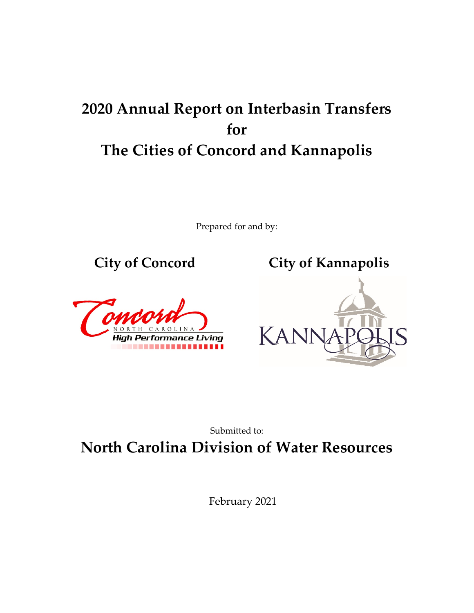# **2020 Annual Report on Interbasin Transfers for The Cities of Concord and Kannapolis**

Prepared for and by:







### Submitted to: **North Carolina Division of Water Resources**

February 2021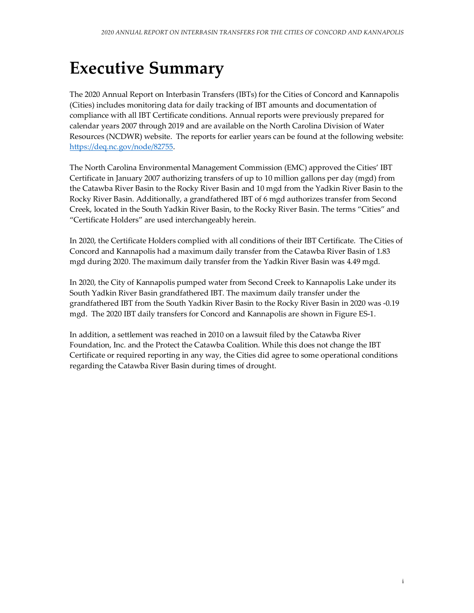# **Executive Summary**

The 2020 Annual Report on Interbasin Transfers (IBTs) for the Cities of Concord and Kannapolis (Cities) includes monitoring data for daily tracking of IBT amounts and documentation of compliance with all IBT Certificate conditions. Annual reports were previously prepared for calendar years 2007 through 2019 and are available on the North Carolina Division of Water Resources (NCDWR) website. The reports for earlier years can be found at the following website: [https://deq.nc.gov/node/82755.](https://deq.nc.gov/node/82755)

The North Carolina Environmental Management Commission (EMC) approved the Cities' IBT Certificate in January 2007 authorizing transfers of up to 10 million gallons per day (mgd) from the Catawba River Basin to the Rocky River Basin and 10 mgd from the Yadkin River Basin to the Rocky River Basin. Additionally, a grandfathered IBT of 6 mgd authorizes transfer from Second Creek, located in the South Yadkin River Basin, to the Rocky River Basin. The terms "Cities" and "Certificate Holders" are used interchangeably herein.

In 2020, the Certificate Holders complied with all conditions of their IBT Certificate. The Cities of Concord and Kannapolis had a maximum daily transfer from the Catawba River Basin of 1.83 mgd during 2020. The maximum daily transfer from the Yadkin River Basin was 4.49 mgd.

In 2020, the City of Kannapolis pumped water from Second Creek to Kannapolis Lake under its South Yadkin River Basin grandfathered IBT. The maximum daily transfer under the grandfathered IBT from the South Yadkin River Basin to the Rocky River Basin in 2020 was -0.19 mgd. The 2020 IBT daily transfers for Concord and Kannapolis are shown in Figure ES-1.

In addition, a settlement was reached in 2010 on a lawsuit filed by the Catawba River Foundation, Inc. and the Protect the Catawba Coalition. While this does not change the IBT Certificate or required reporting in any way, the Cities did agree to some operational conditions regarding the Catawba River Basin during times of drought.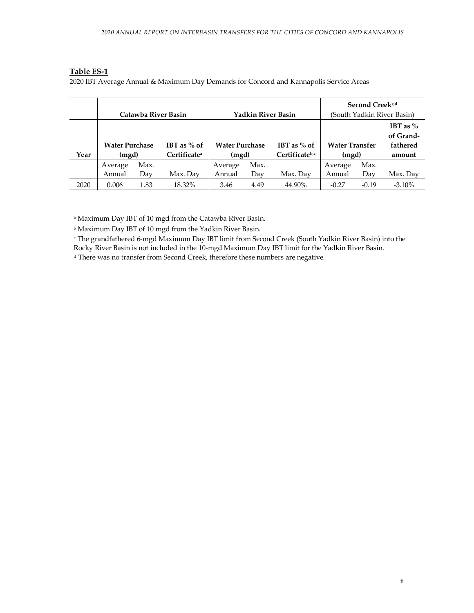#### **Table ES-1**

2020 IBT Average Annual & Maximum Day Demands for Concord and Kannapolis Service Areas

|      |                                |      | Catawba River Basin                       |                                | <b>Yadkin River Basin</b> |                                 |                                | Second Creek <sup>c,d</sup><br>(South Yadkin River Basin) |           |
|------|--------------------------------|------|-------------------------------------------|--------------------------------|---------------------------|---------------------------------|--------------------------------|-----------------------------------------------------------|-----------|
| Year | <b>Water Purchase</b><br>(mgd) |      | IBT as $%$ of<br>Certificate <sup>a</sup> | <b>Water Purchase</b><br>(mgd) |                           | IBT as $%$ of<br>Certificateb,c | <b>Water Transfer</b><br>(mgd) | IBT as $\%$<br>of Grand-<br>fathered<br>amount            |           |
|      | Average                        | Max. |                                           | Average                        | Max.                      |                                 | Average                        | Max.                                                      |           |
|      | Max. Day<br>Day<br>Annual      |      | Annual                                    | Day                            | Max. Day                  | Annual                          | Dav                            | Max. Day                                                  |           |
| 2020 | 0.006                          | 1.83 | 18.32%                                    | 3.46                           | 4.49                      | 44.90%                          | $-0.27$                        | $-0.19$                                                   | $-3.10\%$ |

<sup>a</sup> Maximum Day IBT of 10 mgd from the Catawba River Basin.

<sup>b</sup> Maximum Day IBT of 10 mgd from the Yadkin River Basin.

<sup>c</sup> The grandfathered 6-mgd Maximum Day IBT limit from Second Creek (South Yadkin River Basin) into the Rocky River Basin is not included in the 10-mgd Maximum Day IBT limit for the Yadkin River Basin.

<sup>d</sup> There was no transfer from Second Creek, therefore these numbers are negative.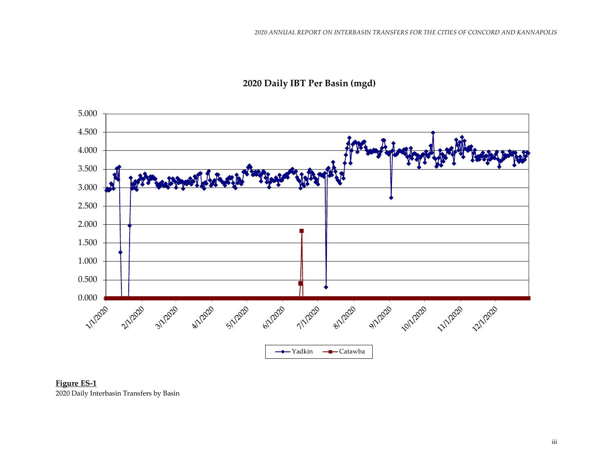

#### **2020 Daily IBT Per Basin (mgd)**

**Figure ES-1** 2020 Daily Interbasin Transfers by Basin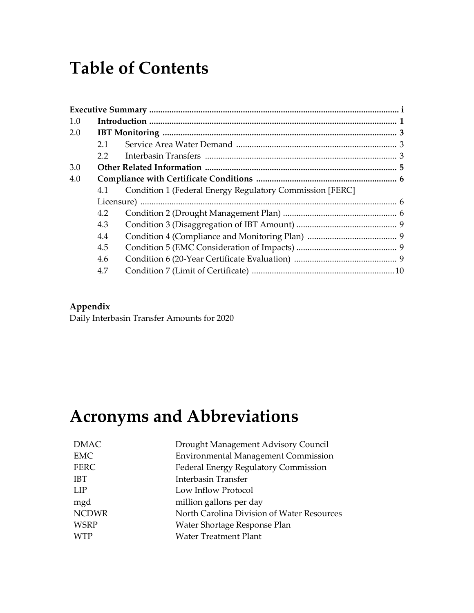# **Table of Contents**

| 1.0 |               |                                                          |  |
|-----|---------------|----------------------------------------------------------|--|
| 2.0 |               |                                                          |  |
|     | 2.1           |                                                          |  |
|     | $2.2^{\circ}$ |                                                          |  |
| 3.0 |               |                                                          |  |
| 4.0 |               |                                                          |  |
|     | 4.1           | Condition 1 (Federal Energy Regulatory Commission [FERC] |  |
|     |               |                                                          |  |
|     | 4.2           |                                                          |  |
|     | 4.3           |                                                          |  |
|     | 4.4           |                                                          |  |
|     | 4.5           |                                                          |  |
|     | 4.6           |                                                          |  |
|     | 4.7           |                                                          |  |
|     |               |                                                          |  |

#### **Appendix**

Daily Interbasin Transfer Amounts for 2020

# **Acronyms and Abbreviations**

| <b>DMAC</b>  | Drought Management Advisory Council         |
|--------------|---------------------------------------------|
| <b>EMC</b>   | <b>Environmental Management Commission</b>  |
| <b>FERC</b>  | <b>Federal Energy Regulatory Commission</b> |
| <b>IBT</b>   | <b>Interbasin Transfer</b>                  |
| LIP          | Low Inflow Protocol                         |
| mgd          | million gallons per day                     |
| <b>NCDWR</b> | North Carolina Division of Water Resources  |
| <b>WSRP</b>  | Water Shortage Response Plan                |
| <b>WTP</b>   | <b>Water Treatment Plant</b>                |
|              |                                             |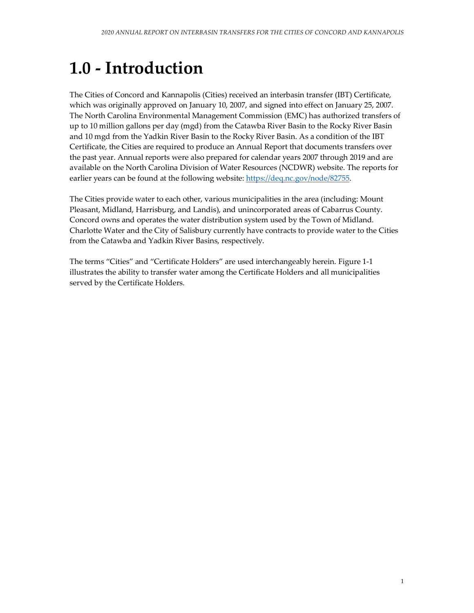# **1.0 - Introduction**

The Cities of Concord and Kannapolis (Cities) received an interbasin transfer (IBT) Certificate, which was originally approved on January 10, 2007, and signed into effect on January 25, 2007. The North Carolina Environmental Management Commission (EMC) has authorized transfers of up to 10 million gallons per day (mgd) from the Catawba River Basin to the Rocky River Basin and 10 mgd from the Yadkin River Basin to the Rocky River Basin. As a condition of the IBT Certificate, the Cities are required to produce an Annual Report that documents transfers over the past year. Annual reports were also prepared for calendar years 2007 through 2019 and are available on the North Carolina Division of Water Resources (NCDWR) website. The reports for earlier years can be found at the following website: [https://deq.nc.gov/node/82755.](https://deq.nc.gov/node/82755)

The Cities provide water to each other, various municipalities in the area (including: Mount Pleasant, Midland, Harrisburg, and Landis), and unincorporated areas of Cabarrus County. Concord owns and operates the water distribution system used by the Town of Midland. Charlotte Water and the City of Salisbury currently have contracts to provide water to the Cities from the Catawba and Yadkin River Basins, respectively.

The terms "Cities" and "Certificate Holders" are used interchangeably herein. Figure 1-1 illustrates the ability to transfer water among the Certificate Holders and all municipalities served by the Certificate Holders.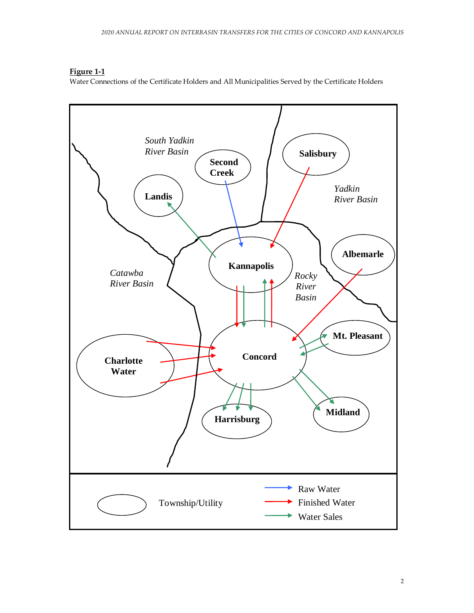**Figure 1-1**

Water Connections of the Certificate Holders and All Municipalities Served by the Certificate Holders

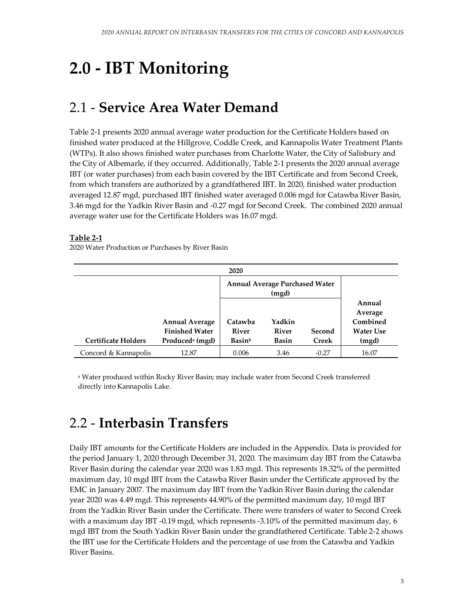# **2.0 - IBT Monitoring**

### 2.1 - **Service Area Water Demand**

Table 2-1 presents 2020 annual average water production for the Certificate Holders based on finished water produced at the Hillgrove, Coddle Creek, and Kannapolis Water Treatment Plants (WTPs). It also shows finished water purchases from Charlotte Water, the City of Salisbury and the City of Albemarle, if they occurred. Additionally, Table 2-1 presents the 2020 annual average IBT (or water purchases) from each basin covered by the IBT Certificate and from Second Creek, from which transfers are authorized by a grandfathered IBT. In 2020, finished water production averaged 12.87 mgd, purchased IBT finished water averaged 0.006 mgd for Catawba River Basin, 3.46 mgd for the Yadkin River Basin and -0.27 mgd for Second Creek. The combined 2020 annual average water use for the Certificate Holders was 16.07 mgd.

#### **Table 2-1**

|                            |                                                                               | 2020                              |                                                |                        |                                                            |
|----------------------------|-------------------------------------------------------------------------------|-----------------------------------|------------------------------------------------|------------------------|------------------------------------------------------------|
|                            |                                                                               |                                   | <b>Annual Average Purchased Water</b><br>(mgd) |                        |                                                            |
| <b>Certificate Holders</b> | <b>Annual Average</b><br><b>Finished Water</b><br>Produced <sup>a</sup> (mgd) | Catawba<br><b>River</b><br>Basinb | Yadkin<br><b>River</b><br><b>Basin</b>         | Second<br><b>Creek</b> | Annual<br>Average<br>Combined<br><b>Water Use</b><br>(mgd) |
|                            |                                                                               |                                   |                                                |                        |                                                            |
| Concord & Kannapolis       | 12.87                                                                         | 0.006                             | 3.46                                           | $-0.27$                | 16.07                                                      |

2020 Water Production or Purchases by River Basin

<sup>a</sup> Water produced within Rocky River Basin; may include water from Second Creek transferred directly into Kannapolis Lake.

### 2.2 - **Interbasin Transfers**

Daily IBT amounts for the Certificate Holders are included in the Appendix. Data is provided for the period January 1, 2020 through December 31, 2020. The maximum day IBT from the Catawba River Basin during the calendar year 2020 was 1.83 mgd. This represents 18.32% of the permitted maximum day, 10 mgd IBT from the Catawba River Basin under the Certificate approved by the EMC in January 2007. The maximum day IBT from the Yadkin River Basin during the calendar year 2020 was 4.49 mgd. This represents 44.90% of the permitted maximum day, 10 mgd IBT from the Yadkin River Basin under the Certificate. There were transfers of water to Second Creek with a maximum day IBT -0.19 mgd, which represents -3.10% of the permitted maximum day, 6 mgd IBT from the South Yadkin River Basin under the grandfathered Certificate. Table 2-2 shows the IBT use for the Certificate Holders and the percentage of use from the Catawba and Yadkin River Basins.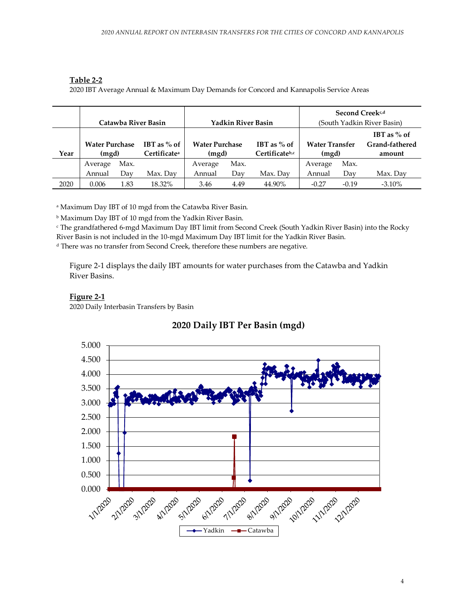#### **Table 2-2**

2020 IBT Average Annual & Maximum Day Demands for Concord and Kannapolis Service Areas

|      |                                |      |                                           |                                |                           |                                 | Second Creek <sup>c,d</sup>    |         |                                           |  |  |  |
|------|--------------------------------|------|-------------------------------------------|--------------------------------|---------------------------|---------------------------------|--------------------------------|---------|-------------------------------------------|--|--|--|
|      |                                |      | Catawba River Basin                       |                                | <b>Yadkin River Basin</b> |                                 | (South Yadkin River Basin)     |         |                                           |  |  |  |
| Year | <b>Water Purchase</b><br>(mgd) |      | IBT as $%$ of<br>Certificate <sup>a</sup> | <b>Water Purchase</b><br>(mgd) |                           | IBT as $%$ of<br>Certificateb,c | <b>Water Transfer</b><br>(mgd) |         | IBT as $%$ of<br>Grand-fathered<br>amount |  |  |  |
|      |                                |      |                                           |                                |                           |                                 |                                |         |                                           |  |  |  |
|      | Average                        | Max. |                                           | Average                        | Max.                      |                                 | Average                        | Max.    |                                           |  |  |  |
|      | Annual                         | Dav  | Max. Dav                                  | Annual                         | Day                       | Max. Day                        | Annual                         | Dav     | Max. Day                                  |  |  |  |
| 2020 | 0.006                          | 1.83 | 18.32%                                    | 3.46                           | 4.49                      | 44.90%                          | $-0.27$                        | $-0.19$ | $-3.10\%$                                 |  |  |  |

<sup>a</sup> Maximum Day IBT of 10 mgd from the Catawba River Basin.

<sup>b</sup> Maximum Day IBT of 10 mgd from the Yadkin River Basin.

<sup>c</sup> The grandfathered 6-mgd Maximum Day IBT limit from Second Creek (South Yadkin River Basin) into the Rocky River Basin is not included in the 10-mgd Maximum Day IBT limit for the Yadkin River Basin. <sup>d</sup> There was no transfer from Second Creek, therefore these numbers are negative.

Figure 2-1 displays the daily IBT amounts for water purchases from the Catawba and Yadkin River Basins.

#### **Figure 2-1**

2020 Daily Interbasin Transfers by Basin



#### **2020 Daily IBT Per Basin (mgd)**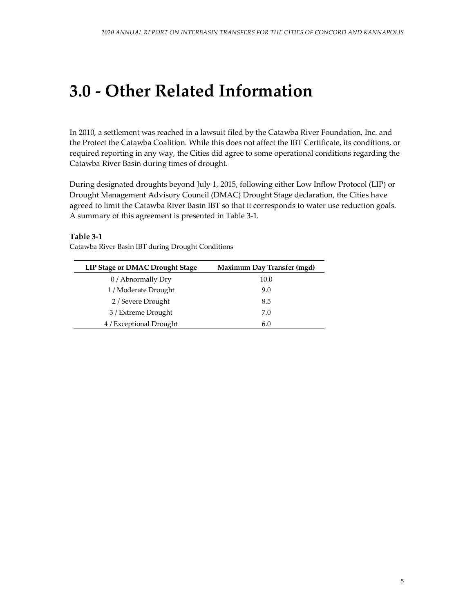# **3.0 - Other Related Information**

In 2010, a settlement was reached in a lawsuit filed by the Catawba River Foundation, Inc. and the Protect the Catawba Coalition. While this does not affect the IBT Certificate, its conditions, or required reporting in any way, the Cities did agree to some operational conditions regarding the Catawba River Basin during times of drought.

During designated droughts beyond July 1, 2015, following either Low Inflow Protocol (LIP) or Drought Management Advisory Council (DMAC) Drought Stage declaration, the Cities have agreed to limit the Catawba River Basin IBT so that it corresponds to water use reduction goals. A summary of this agreement is presented in Table 3-1.

#### **Table 3-1**

| <b>LIP Stage or DMAC Drought Stage</b> | Maximum Day Transfer (mgd) |
|----------------------------------------|----------------------------|
| 0 / Abnormally Dry                     | 10.0                       |
| 1 / Moderate Drought                   | 9.0                        |
| 2 / Severe Drought                     | 8.5                        |
| 3 / Extreme Drought                    | 7.0                        |
| 4 / Exceptional Drought                | 6.0                        |

Catawba River Basin IBT during Drought Conditions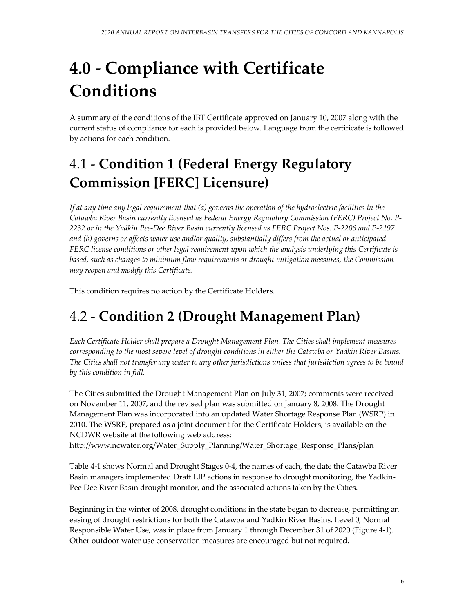# **4.0 - Compliance with Certificate Conditions**

A summary of the conditions of the IBT Certificate approved on January 10, 2007 along with the current status of compliance for each is provided below. Language from the certificate is followed by actions for each condition.

## 4.1 - **Condition 1 (Federal Energy Regulatory Commission [FERC] Licensure)**

*If at any time any legal requirement that (a) governs the operation of the hydroelectric facilities in the Catawba River Basin currently licensed as Federal Energy Regulatory Commission (FERC) Project No. P-2232 or in the Yadkin Pee-Dee River Basin currently licensed as FERC Project Nos. P-2206 and P-2197 and (b) governs or affects water use and/or quality, substantially differs from the actual or anticipated FERC license conditions or other legal requirement upon which the analysis underlying this Certificate is based, such as changes to minimum flow requirements or drought mitigation measures, the Commission may reopen and modify this Certificate.* 

This condition requires no action by the Certificate Holders.

## 4.2 - **Condition 2 (Drought Management Plan)**

*Each Certificate Holder shall prepare a Drought Management Plan. The Cities shall implement measures corresponding to the most severe level of drought conditions in either the Catawba or Yadkin River Basins. The Cities shall not transfer any water to any other jurisdictions unless that jurisdiction agrees to be bound by this condition in full.* 

The Cities submitted the Drought Management Plan on July 31, 2007; comments were received on November 11, 2007, and the revised plan was submitted on January 8, 2008. The Drought Management Plan was incorporated into an updated Water Shortage Response Plan (WSRP) in 2010. The WSRP, prepared as a joint document for the Certificate Holders, is available on the NCDWR website at the following web address:

http://www.ncwater.org/Water\_Supply\_Planning/Water\_Shortage\_Response\_Plans/plan

Table 4-1 shows Normal and Drought Stages 0-4, the names of each, the date the Catawba River Basin managers implemented Draft LIP actions in response to drought monitoring, the Yadkin-Pee Dee River Basin drought monitor, and the associated actions taken by the Cities.

Beginning in the winter of 2008, drought conditions in the state began to decrease, permitting an easing of drought restrictions for both the Catawba and Yadkin River Basins. Level 0, Normal Responsible Water Use, was in place from January 1 through December 31 of 2020 (Figure 4-1). Other outdoor water use conservation measures are encouraged but not required.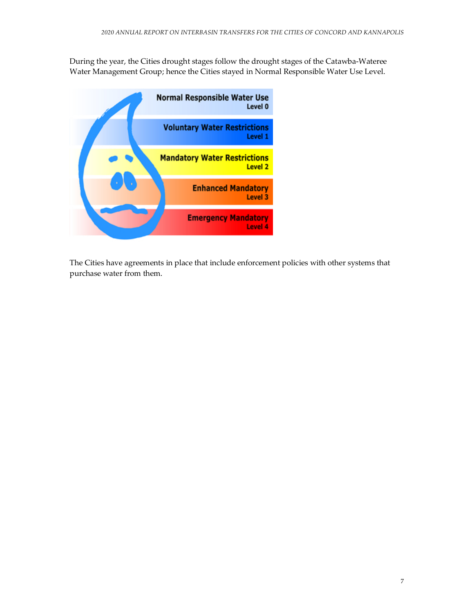During the year, the Cities drought stages follow the drought stages of the Catawba-Wateree Water Management Group; hence the Cities stayed in Normal Responsible Water Use Level.



The Cities have agreements in place that include enforcement policies with other systems that purchase water from them.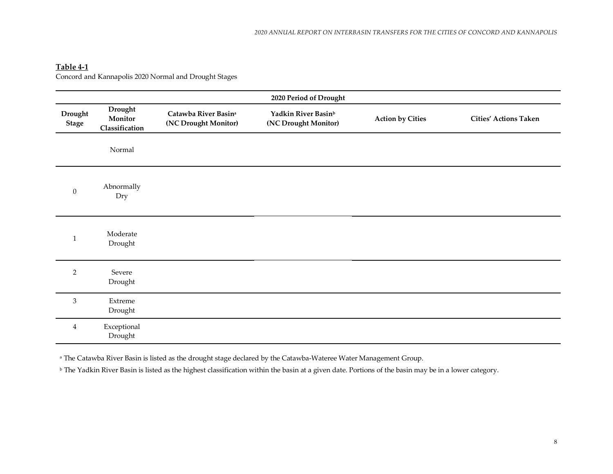#### **Table 4-1**

Concord and Kannapolis 2020 Normal and Drought Stages

| 2020 Period of Drought  |                                      |                                                          |                                                         |                         |                              |  |  |  |  |  |  |  |  |
|-------------------------|--------------------------------------|----------------------------------------------------------|---------------------------------------------------------|-------------------------|------------------------------|--|--|--|--|--|--|--|--|
| Drought<br><b>Stage</b> | Drought<br>Monitor<br>Classification | Catawba River Basin <sup>a</sup><br>(NC Drought Monitor) | Yadkin River Basin <sup>b</sup><br>(NC Drought Monitor) | <b>Action by Cities</b> | <b>Cities' Actions Taken</b> |  |  |  |  |  |  |  |  |
|                         | Normal                               |                                                          |                                                         |                         |                              |  |  |  |  |  |  |  |  |
| $\boldsymbol{0}$        | Abnormally<br>Dry                    |                                                          |                                                         |                         |                              |  |  |  |  |  |  |  |  |
| $\mathbf{1}$            | Moderate<br>Drought                  |                                                          |                                                         |                         |                              |  |  |  |  |  |  |  |  |
| $\overline{2}$          | Severe<br>Drought                    |                                                          |                                                         |                         |                              |  |  |  |  |  |  |  |  |
| $\mathfrak{Z}$          | Extreme<br>Drought                   |                                                          |                                                         |                         |                              |  |  |  |  |  |  |  |  |
| $\overline{4}$          | Exceptional<br>Drought               |                                                          |                                                         |                         |                              |  |  |  |  |  |  |  |  |

a The Catawba River Basin is listed as the drought stage declared by the Catawba-Wateree Water Management Group.

**b** The Yadkin River Basin is listed as the highest classification within the basin at a given date. Portions of the basin may be in a lower category.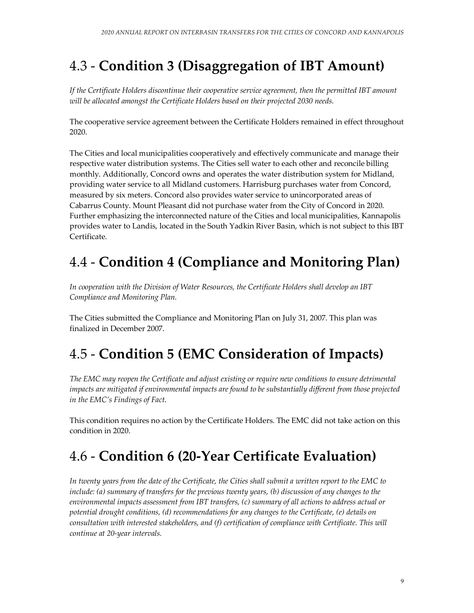## 4.3 - **Condition 3 (Disaggregation of IBT Amount)**

*If the Certificate Holders discontinue their cooperative service agreement, then the permitted IBT amount will be allocated amongst the Certificate Holders based on their projected 2030 needs.* 

The cooperative service agreement between the Certificate Holders remained in effect throughout 2020.

The Cities and local municipalities cooperatively and effectively communicate and manage their respective water distribution systems. The Cities sell water to each other and reconcile billing monthly. Additionally, Concord owns and operates the water distribution system for Midland, providing water service to all Midland customers. Harrisburg purchases water from Concord, measured by six meters. Concord also provides water service to unincorporated areas of Cabarrus County. Mount Pleasant did not purchase water from the City of Concord in 2020. Further emphasizing the interconnected nature of the Cities and local municipalities, Kannapolis provides water to Landis, located in the South Yadkin River Basin, which is not subject to this IBT Certificate.

## 4.4 - **Condition 4 (Compliance and Monitoring Plan)**

*In cooperation with the Division of Water Resources, the Certificate Holders shall develop an IBT Compliance and Monitoring Plan.* 

The Cities submitted the Compliance and Monitoring Plan on July 31, 2007. This plan was finalized in December 2007.

## 4.5 - **Condition 5 (EMC Consideration of Impacts)**

*The EMC may reopen the Certificate and adjust existing or require new conditions to ensure detrimental impacts are mitigated if environmental impacts are found to be substantially different from those projected in the EMC's Findings of Fact.* 

This condition requires no action by the Certificate Holders. The EMC did not take action on this condition in 2020.

## 4.6 - **Condition 6 (20-Year Certificate Evaluation)**

*In twenty years from the date of the Certificate, the Cities shall submit a written report to the EMC to include: (a) summary of transfers for the previous twenty years, (b) discussion of any changes to the environmental impacts assessment from IBT transfers, (c) summary of all actions to address actual or potential drought conditions, (d) recommendations for any changes to the Certificate, (e) details on consultation with interested stakeholders, and (f) certification of compliance with Certificate. This will continue at 20-year intervals.*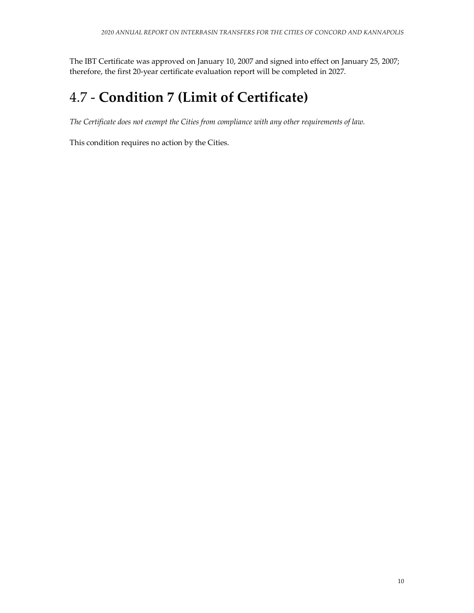The IBT Certificate was approved on January 10, 2007 and signed into effect on January 25, 2007; therefore, the first 20-year certificate evaluation report will be completed in 2027.

## 4.7 - **Condition 7 (Limit of Certificate)**

*The Certificate does not exempt the Cities from compliance with any other requirements of law.* 

This condition requires no action by the Cities.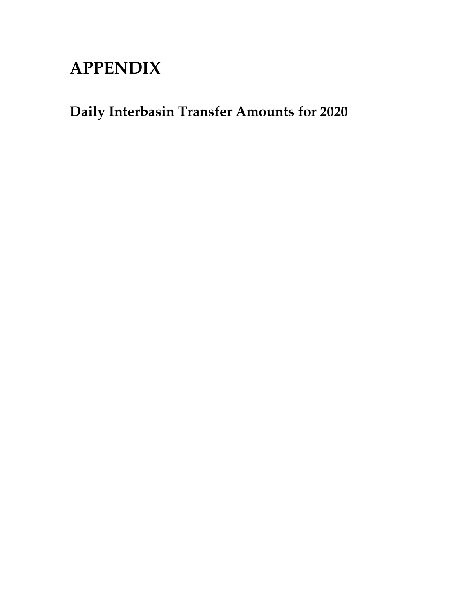# **APPENDIX**

**Daily Interbasin Transfer Amounts for 2020**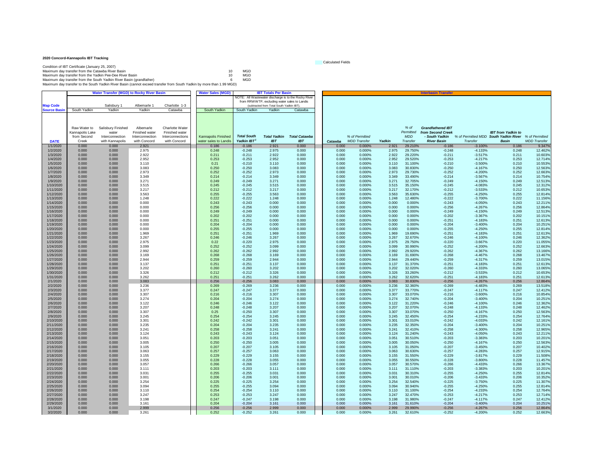#### **2020 Concord-Kannapolis IBT Tracking**

| Condition of IBT Certificate (January 25, 2007)                                                                       |    |     |
|-----------------------------------------------------------------------------------------------------------------------|----|-----|
| Maximum day transfer from the Catawba River Basin                                                                     | 10 | MGD |
| Maximum day transfer from the Yadkin Pee-Dee River Basin                                                              | 10 | MGD |
| Maximum day transfer from the South Yadkin River Basin (grandfather)                                                  | 6  | MGD |
| Maximum day transfer to the South Yadkin River Basin (cannot exceed transfer from South Yadkin by more than 1.99 MGD) |    |     |

|                        |                 | <b>Water Transfer (MGD) to Rocky River Basin</b> |                 |                  | <b>Water Sales (MGD)</b> |                      | <b>IBT Totals Per Basin</b>                  |                                                      |         |                     |        |                    | Interbasin Trans <del>ı</del> |                                       |                           |                     |
|------------------------|-----------------|--------------------------------------------------|-----------------|------------------|--------------------------|----------------------|----------------------------------------------|------------------------------------------------------|---------|---------------------|--------|--------------------|-------------------------------|---------------------------------------|---------------------------|---------------------|
|                        |                 |                                                  |                 |                  |                          |                      |                                              | NOTE: All Wastewater discharge is to the Rocky River |         |                     |        |                    |                               |                                       |                           |                     |
|                        |                 |                                                  |                 |                  |                          |                      | from RRWWTP, excluding water sales to Landis |                                                      |         |                     |        |                    |                               |                                       |                           |                     |
| <b>Map Code</b>        |                 | Salisbury 1                                      | Albemarle 1     | Charlotte 1-3    |                          |                      | (subtracted from Total South Yadkin IBT)     |                                                      |         |                     |        |                    |                               |                                       |                           |                     |
| <b>Source Basir</b>    | South Yadkin    | Yadkin                                           | Yadkin          | Catawba          | South Yadkin             | South Yadkin         | Yadkin                                       | Catawba                                              |         |                     |        |                    |                               |                                       |                           |                     |
|                        |                 |                                                  |                 |                  |                          |                      |                                              |                                                      |         |                     |        |                    |                               |                                       |                           |                     |
|                        |                 |                                                  |                 |                  |                          |                      |                                              |                                                      |         |                     |        |                    |                               |                                       |                           |                     |
|                        |                 |                                                  |                 |                  |                          |                      |                                              |                                                      |         |                     |        |                    |                               |                                       |                           |                     |
|                        | Raw Water to    | Salisbury Finished                               | Albemarle       | Charlotte Water  |                          |                      |                                              |                                                      |         |                     |        | $%$ of             | <b>Grandfathered IBT</b>      |                                       |                           |                     |
|                        | Kannapolis Lake | water                                            | Finished water  | Finished water   |                          |                      |                                              |                                                      |         |                     |        | Permitted          | from Second Creek             |                                       | <b>IBT</b> from Yadkin to |                     |
|                        | from Second     | Interconnection                                  | Interconnection | Interconnections | Kannapolis Finished      | <b>Total South</b>   |                                              | <b>Total Yadkin Total Catawba</b>                    |         | % of Permitted      |        | <b>MDD</b>         | - South Yadkin                | % of Permitted MDD South Yadkin River |                           | % of Permitted      |
| <b>DATE</b>            | Creek           | with Kannapolis                                  | with Concord    | with Concord     | water sales to Landis    | Yadkin IBT           | <b>IBT</b>                                   | <b>IBT</b>                                           | Catawba | <b>MDD</b> Transfer | Yadkin | Transfer           | <b>River Basin</b>            | Transfer                              | Basin                     | <b>MDD</b> Transfer |
| 1/1/2020               | 0.000           | 0.000                                            | 2.921           |                  | 0.186                    | $-0.186$             | 2.921                                        | 0.000                                                | 0.000   | 0.000%              | 2.921  | 29.210%            | $-0.186$                      | $-3.100%$                             | 0.186                     | 9.347%              |
| 1/2/2020               | 0.000           | 0.000                                            | 2.975           |                  | 0.248                    | $-0.248$             | 2.975                                        | 0.000                                                | 0.000   | 0.000%              | 2.975  | 29.750%            | $-0.248$                      | $-4.133%$                             | 0.248                     | 12.462%             |
| 1/3/2020               | 0.000           | 0.000                                            | 2.922           |                  | 0.211                    | $-0.211$             | 2.922                                        | 0.000                                                | 0.000   | 0.000%              | 2.922  | 29.220%            | $-0.211$                      | $-3.517%$                             | 0.211                     | 10.603%             |
| 1/4/2020               | 0.000           | 0.000                                            | 2.952           |                  | 0.253                    | $-0.253$             | 2.952                                        | 0.000                                                | 0.000   | 0.000%              | 2.952  | 29.520%            | $-0.253$                      | $-4.217%$                             | 0.253                     | 12.714%             |
| 1/5/2020               | 0.000           | 0.000                                            | 3.110           |                  | 0.21                     | $-0.210$             | 3.110                                        | 0.000                                                | 0.000   | 0.000%              | 3.110  | 31.100%            | $-0.210$                      | $-3.500%$                             | 0.210                     | 10.553%             |
| 1/6/2020               | 0.000           | 0.000                                            | 3.083           |                  | 0.250                    | $-0.250$             | 3.083                                        | 0.000                                                | 0.000   | 0.000%              | 3.083  | 30.830%            | $-0.250$                      | $-4.167%$                             | 0.250                     | 12.563%             |
| 1/7/2020               | 0.000           | 0.000                                            | 2.973           |                  | 0.252                    | $-0.252$             | 2.973                                        | 0.000                                                | 0.000   | 0.000%              | 2.973  | 29.730%            | $-0.252$                      | $-4.200%$                             | 0.252                     | 12.663%             |
| 1/8/2020               | 0.000           | 0.000                                            | 3.349           |                  | 0.214                    | $-0.214$             | 3.349                                        | 0.000                                                | 0.000   | 0.000%              | 3.349  | 33.490%            | $-0.214$                      | $-3.567%$                             | 0.214                     | 10.754%             |
| 1/9/2020               | 0.000           | 0.000                                            | 3.271           |                  | 0.249                    | $-0.249$             | 3.271                                        | 0.000                                                | 0.000   | 0.000%              | 3.271  | 32.705%            | $-0.249$                      | $-4.150%$                             | 0.249                     | 12.513%             |
| 1/10/2020              | 0.000           | 0.000                                            | 3.515           |                  | 0.245                    | $-0.245$             | 3.515                                        | 0.000                                                | 0.000   | 0.000%              | 3.515  | 35.150%            | $-0.245$                      | $-4.083%$                             | 0.245                     | 12.312%             |
| 1/11/2020              | 0.000           | 0.000                                            | 3.217           |                  | 0.212                    | $-0.212$             | 3.217                                        | 0.000                                                | 0.000   | 0.000%              | 3.217  | 32.170%            | $-0.212$                      | $-3.533%$                             | 0.212                     | 10.653%             |
| 1/12/2020              | 0.000           | 0.000                                            | 3.563           |                  | 0.255                    | $-0.255$             | 3.563                                        | 0.000                                                | 0.000   | 0.000%              | 3.563  | 35.630%            | $-0.255$                      | $-4.250%$                             | 0.255                     | 12.814%             |
| 1/13/2020              | 0.000           | 0.000                                            | 1.248           |                  | 0.222                    | $-0.222$             | 1.248                                        | 0.000                                                | 0.000   | 0.000%              | 1.248  | 12.480%            | $-0.222$                      | $-3.700%$                             | 0.222                     | 11.156%             |
| 1/14/2020              | 0.000           | 0.000                                            | 0.000           |                  | 0.243                    | $-0.243$             | 0.000                                        | 0.000                                                | 0.000   | 0.000%              | 0.000  | 0.000%             | $-0.243$                      | $-4.050%$                             | 0.243                     | 12.211%             |
| 1/15/2020              | 0.000           | 0.000                                            | 0.000           |                  | 0.256                    | $-0.256$             | 0.000                                        | 0.000                                                | 0.000   | 0.000%              | 0.000  | 0.000%             | $-0.256$                      | $-4.267%$                             | 0.256                     | 12.864%             |
| 1/16/2020              | 0.000           | 0.000                                            | 0.000           |                  | 0.249                    | $-0.249$             | 0.000                                        | 0.000                                                | 0.000   | 0.000%              | 0.000  | 0.000%             | $-0.249$                      | $-4.150%$                             | 0.249                     | 12.513%             |
| 1/17/2020              | 0.000           | 0.000                                            | 0.000           |                  | 0.202                    | $-0.202$             | 0.000                                        | 0.000                                                | 0.000   | 0.000%              | 0.000  | 0.000%             | $-0.202$                      | $-3.367%$                             | 0.202                     | 10.151%             |
| 1/18/2020              | 0.000           | 0.000                                            | 0.000           |                  | 0.251                    | $-0.251$             | 0.000                                        | 0.000                                                | 0.000   | 0.000%              | 0.000  | 0.000%             | $-0.251$                      | $-4.183%$                             | 0.251                     | 12.613%             |
| 1/19/2020              | 0.000           | 0.000                                            | 0.000           |                  | 0.204                    | $-0.204$             | 0.000                                        | 0.000                                                | 0.000   | 0.000%              | 0.000  | 0.000%             | $-0.204$                      | $-3.400%$                             | 0.204                     | 10.251%             |
| 1/20/2020              | 0.000           | 0.000                                            | 0.000           |                  | 0.255                    | $-0.255$             | 0.000                                        | 0.000                                                | 0.000   | 0.000%              | 0.000  | 0.000%             | $-0.255$                      | $-4.250%$                             | 0.255                     | 12.814%             |
|                        |                 | 0.000                                            | 1.969           |                  |                          |                      | 1.969                                        | 0.000                                                | 0.000   |                     | 1.969  |                    |                               |                                       | 0.251                     |                     |
| 1/21/2020<br>1/22/2020 | 0.000<br>0.000  | 0.000                                            | 3.267           |                  | 0.251<br>0.246           | $-0.251$<br>$-0.246$ | 3.267                                        | 0.000                                                | 0.000   | 0.000%<br>0.000%    | 3.267  | 19.690%<br>32.670% | $-0.251$<br>$-0.246$          | $-4.183%$<br>$-4.100%$                | 0.246                     | 12.613%<br>12.362%  |
|                        |                 |                                                  |                 |                  | 0.22                     |                      |                                              |                                                      | 0.000   |                     |        |                    |                               |                                       | 0.220                     | 11.055%             |
| 1/23/2020              | 0.000           | 0.000                                            | 2.975           |                  | 0.252                    | $-0.220$             | 2.975                                        | 0.000                                                |         | 0.000%              | 2.975  | 29.750%            | $-0.220$                      | $-3.667%$                             | 0.252                     |                     |
| 1/24/2020              | 0.000           | 0.000                                            | 3.099           |                  |                          | $-0.252$             | 3.099                                        | 0.000                                                | 0.000   | 0.000%              | 3.099  | 30.990%            | $-0.252$                      | $-4.200%$                             |                           | 12.663%             |
| 1/25/2020              | 0.000           | 0.000                                            | 2.992           |                  | 0.262                    | $-0.262$             | 2.992                                        | 0.000                                                | 0.000   | 0.000%              | 2.992  | 29.920%            | $-0.262$                      | $-4.367%$                             | 0.262                     | 13.166%             |
| 1/26/2020              | 0.000           | 0.000                                            | 3.169           |                  | 0.268                    | $-0.268$             | 3.169                                        | 0.000                                                | 0.000   | 0.000%              | 3.169  | 31.690%            | $-0.268$                      | $-4.467%$                             | 0.268                     | 13.467%             |
| 1/27/2020              | 0.000           | 0.000                                            | 2.944           |                  | 0.259                    | $-0.259$             | 2.944                                        | 0.000                                                | 0.000   | 0.000%              | 2.944  | 29.440%            | $-0.259$                      | $-4.317%$                             | 0.259                     | 13.015%             |
| 1/28/2020              | 0.000           | 0.000                                            | 3.137           |                  | 0.251                    | $-0.251$             | 3.137                                        | 0.000                                                | 0.000   | 0.000%              | 3.137  | 31.370%            | $-0.251$                      | $-4.183%$                             | 0.251                     | 12.613%             |
| 1/29/2020              | 0.000           | 0.000                                            | 3.202           |                  | 0.260                    | $-0.260$             | 3.202                                        | 0.000                                                | 0.000   | 0.000%              | 3.202  | 32.020%            | $-0.260$                      | $-4.333%$                             | 0.260                     | 13.065%             |
| 1/30/2020              | 0.000           | 0.000                                            | 3.326           |                  | 0.212                    | $-0.212$             | 3.326                                        | 0.000                                                | 0.000   | 0.000%              | 3.326  | 33.260%            | $-0.212$                      | $-3.533%$                             | 0.212                     | 10.653%             |
| 1/31/2020              | 0.000           | 0.000                                            | 3.262           |                  | 0.251                    | $-0.251$             | 3.262                                        | 0.000                                                | 0.000   | 0.000%              | 3.262  | 32.620%            | $-0.251$                      | $-4.183%$                             | 0.251                     | 12.613%             |
| 2/1/2020               | 0.000           | 0.000                                            | 3.083           |                  | 0.256                    | $-0.256$             | 3.083                                        | 0.000                                                | 0.000   | 0.000%              | 3.083  | 30.830%            | $-0.256$                      | $-4.267%$                             | 0.256                     | 12.864%             |
| 2/2/2020               | 0.000           | 0.000                                            | 3.236           |                  | 0.269                    | $-0.269$             | 3.236                                        | 0.000                                                | 0.000   | 0.000%              | 3.236  | 32.360%            | $-0.269$                      | $-4.483%$                             | 0.269                     | 13.518%             |
| 2/3/2020               | 0.000           | 0.000                                            | 3.377           |                  | 0.247                    | $-0.247$             | 3.377                                        | 0.000                                                | 0.000   | 0.000%              | 3.377  | 33.770%            | $-0.247$                      | $-4.117%$                             | 0.247                     | 12.412%             |
| 2/4/2020               | 0.000           | 0.000                                            | 3.307           |                  | 0.216                    | $-0.216$             | 3.307                                        | 0.000                                                | 0.000   | 0.000%              | 3.307  | 33.070%            | $-0.216$                      | $-3.600%$                             | 0.216                     | 10.854%             |
| 2/5/2020               | 0.000           | 0.000                                            | 3.274           |                  | 0.204                    | $-0.204$             | 3.274                                        | 0.000                                                | 0.000   | 0.000%              | 3.274  | 32.740%            | $-0.204$                      | $-3.400%$                             | 0.204                     | 10.251%             |
| 2/6/2020               | 0.000           | 0.000                                            | 3.122           |                  | 0.246                    | $-0.246$             | 3.122                                        | 0.000                                                | 0.000   | 0.000%              | 3.122  | 31.220%            | $-0.246$                      | $-4.100%$                             | 0.246                     | 12.362%             |
| 2/7/2020               | 0.000           | 0.000                                            | 3.207           |                  | 0.248                    | $-0.248$             | 3.207                                        | 0.000                                                | 0.000   | 0.000%              | 3.207  | 32.070%            | $-0.248$                      | $-4.133%$                             | 0.248                     | 12.462%             |
| 2/8/2020               | 0.000           | 0.000                                            | 3.307           |                  | 0.25                     | $-0.250$             | 3.307                                        | 0.000                                                | 0.000   | 0.000%              | 3.307  | 33.070%            | $-0.250$                      | $-4.167%$                             | 0.250                     | 12.563%             |
| 2/9/2020               | 0.000           | 0.000                                            | 3.245           |                  | 0.254                    | $-0.254$             | 3.245                                        | 0.000                                                | 0.000   | 0.000%              | 3.245  | 32.450%            | $-0.254$                      | $-4.233%$                             | 0.254                     | 12.764%             |
| 2/10/2020              | 0.000           | 0.000                                            | 3.301           |                  | 0.242                    | $-0.242$             | 3.301                                        | 0.000                                                | 0.000   | 0.000%              | 3.301  | 33.010%            | $-0.242$                      | $-4.033%$                             | 0.242                     | 12.161%             |
| 2/11/2020              | 0.000           | 0.000                                            | 3.235           |                  | 0.204                    | $-0.204$             | 3.235                                        | 0.000                                                | 0.000   | 0.000%              | 3.235  | 32.350%            | $-0.204$                      | $-3.400%$                             | 0.204                     | 10.251%             |
| 2/12/2020              | 0.000           | 0.000                                            | 3.241           |                  | 0.258                    | $-0.258$             | 3.241                                        | 0.000                                                | 0.000   | 0.000%              | 3.241  | 32.410%            | $-0.258$                      | $-4.300%$                             | 0.258                     | 12.965%             |
| 2/13/2020              | 0.000           | 0.000                                            | 3.124           |                  | 0.243                    | $-0.243$             | 3.124                                        | 0.000                                                | 0.000   | 0.000%              | 3.124  | 31.240%            | $-0.243$                      | $-4.050%$                             | 0.243                     | 12.211%             |
| 2/14/2020              | 0.000           | 0.000                                            | 3.051           |                  | 0.203                    | $-0.203$             | 3.051                                        | 0.000                                                | 0.000   | 0.000%              | 3.051  | 30.510%            | $-0.203$                      | $-3.383%$                             | 0.203                     | 10.201%             |
| 2/15/2020              | 0.000           | 0.000                                            | 3.005           |                  | 0.250                    | $-0.250$             | 3.005                                        | 0.000                                                | 0.000   | 0.000%              | 3.005  | 30.050%            | $-0.250$                      | $-4.167%$                             | 0.250                     | 12.563%             |
| 2/16/2020              | 0.000           | 0.000                                            | 3.105           |                  | 0.207                    | $-0.207$             | 3.105                                        | 0.000                                                | 0.000   | 0.000%              | 3.105  | 31.050%            | $-0.207$                      | $-3.450%$                             | 0.207                     | 10.402%             |
| 2/17/2020              | 0.000           | 0.000                                            | 3.063           |                  | 0.257                    | $-0.257$             | 3.063                                        | 0.000                                                | 0.000   | 0.000%              | 3.063  | 30.630%            | $-0.257$                      | $-4.283%$                             | 0.257                     | 12.915%             |
| 2/18/2020              | 0.000           | 0.000                                            | 3.155           |                  | 0.229                    | $-0.229$             | 3.155                                        | 0.000                                                | 0.000   | 0.000%              | 3.155  | 31.550%            | $-0.229$                      | $-3.817%$                             | 0.229                     | 11.508%             |
| 2/19/2020              | 0.000           | 0.000                                            | 3.055           |                  | 0.228                    | $-0.228$             | 3.055                                        | 0.000                                                | 0.000   | 0.000%              | 3.055  | 30.550%            | $-0.228$                      | $-3.800%$                             | 0.228                     | 11.457%             |
| 2/20/2020              | 0.000           | 0.000                                            | 3.057           |                  | 0.266                    | $-0.266$             | 3.057                                        | 0.000                                                | 0.000   | 0.000%              | 3.057  | 30.570%            | $-0.266$                      | $-4.433%$                             | 0.266                     | 13.367%             |
| 2/21/2020              | 0.000           | 0.000                                            | 3.111           |                  | 0.203                    | $-0.203$             | 3.111                                        | 0.000                                                | 0.000   | 0.000%              | 3.111  | 31.110%            | $-0.203$                      | $-3.383%$                             | 0.203                     | 10.201%             |
| 2/22/2020              | 0.000           | 0.000                                            | 3.031           |                  | 0.255                    | $-0.255$             | 3.031                                        | 0.000                                                | 0.000   | 0.000%              | 3.031  | 30.310%            | $-0.255$                      | $-4.250%$                             | 0.255                     | 12.814%             |
| 2/23/2020              | 0.000           | 0.000                                            | 3.001           |                  | 0.206                    | $-0.206$             | 3.001                                        | 0.000                                                | 0.000   | 0.000%              | 3.001  | 30.010%            | $-0.206$                      | $-3.433%$                             | 0.206                     | 10.352%             |
| 2/24/2020              | 0.000           | 0.000                                            | 3.254           |                  | 0.225                    | $-0.225$             | 3.254                                        | 0.000                                                | 0.000   | 0.000%              | 3.254  | 32.540%            | $-0.225$                      | $-3.750%$                             | 0.225                     | 11.307%             |
| 2/25/2020              | 0.000           | 0.000                                            | 3.094           |                  | 0.255                    | $-0.255$             | 3.094                                        | 0.000                                                | 0.000   | 0.000%              | 3.094  | 30.940%            | $-0.255$                      | $-4.250%$                             | 0.255                     | 12.814%             |
| 2/26/2020              | 0.000           | 0.000                                            | 3.110           |                  | 0.254                    | $-0.254$             | 3.110                                        | 0.000                                                | 0.000   | 0.000%              | 3.110  | 31.100%            | $-0.254$                      | $-4.233%$                             | 0.254                     | 12.764%             |
| 2/27/2020              | 0.000           | 0.000                                            | 3.247           |                  | 0.253                    | $-0.253$             | 3.247                                        | 0.000                                                | 0.000   | 0.000%              | 3.247  | 32.470%            | $-0.253$                      | $-4.217%$                             | 0.253                     | 12.714%             |
| 2/28/2020              | 0.000           | 0.000                                            | 3.198           |                  | 0.247                    | $-0.247$             | 3.198                                        | 0.000                                                | 0.000   | 0.000%              | 3.198  | 31.980%            | $-0.247$                      | $-4.117%$                             | 0.247                     | 12.412%             |
| 2/29/2020              | 0.000           | 0.000                                            | 3.161           |                  | 0.204                    | $-0.204$             | 3.161                                        | 0.000                                                | 0.000   | 0.000%              | 3.161  | 31.610%            | $-0.204$                      | $-3.400%$                             | 0.204                     | 10.251%             |
| 3/1/2020               | 0.000           | 0.000                                            | 2.999           |                  | 0.256                    | $-0.256$             | 2.999                                        | 0.000                                                | 0.000   | 0.000%              | 2.999  | 29.990%            | $-0.256$                      | $-4.267%$                             | 0.256                     | 12.864%             |
| 3/2/2020               | 0.000           | 0.000                                            | 3.261           |                  | 0.252                    | $-0.252$             | 3.261                                        | 0.000                                                | 0.000   | 0.000%              | 3.261  | 32.610%            | $-0.252$                      | $-4.200%$                             | 0.252                     | 12.663%             |

Calculated Fields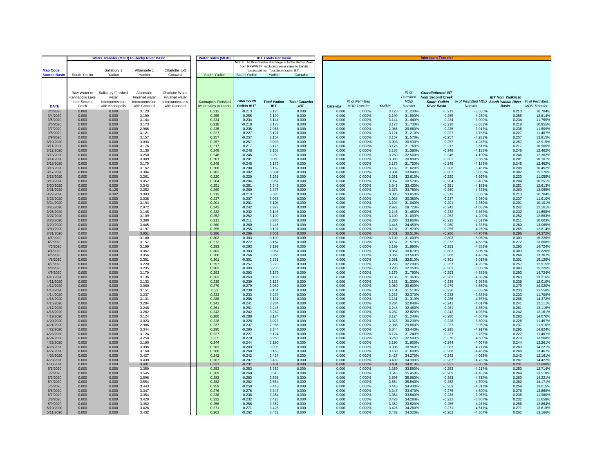|                        | <b>Water Transfer (MGD) to Rocky River Basin</b><br><b>Water Sales (MGD)</b><br><b>IBT Totals Per Basir</b> |                       |                 |                  |                       |                      |                                                      |                      |                |                     |                |                    | Interbasin Transfe       |                                                      |                           |                     |
|------------------------|-------------------------------------------------------------------------------------------------------------|-----------------------|-----------------|------------------|-----------------------|----------------------|------------------------------------------------------|----------------------|----------------|---------------------|----------------|--------------------|--------------------------|------------------------------------------------------|---------------------------|---------------------|
|                        |                                                                                                             |                       |                 |                  |                       |                      | NOTE: All Wastewater discharge is to the Rocky River |                      |                |                     |                |                    |                          |                                                      |                           |                     |
|                        |                                                                                                             |                       |                 |                  |                       |                      | from RRWWTP, excluding water sales to Landis         |                      |                |                     |                |                    |                          |                                                      |                           |                     |
| <b>Map Code</b>        |                                                                                                             | Salisbury 1<br>Yadkin | Albemarle 1     | Charlotte 1-3    | South Yadkin          | South Yadkin         | (subtracted from Total South Yadkin IBT)             |                      |                |                     |                |                    |                          |                                                      |                           |                     |
| <b>Source Basin</b>    | South Yadkin                                                                                                |                       | Yadkin          | Catawba          |                       |                      | Yadkin                                               | Catawba              |                |                     |                |                    |                          |                                                      |                           |                     |
|                        |                                                                                                             |                       |                 |                  |                       |                      |                                                      |                      |                |                     |                |                    |                          |                                                      |                           |                     |
|                        |                                                                                                             |                       |                 |                  |                       |                      |                                                      |                      |                |                     |                |                    |                          |                                                      |                           |                     |
|                        | Raw Water to                                                                                                | Salisbury Finished    | Albemarle       | Charlotte Water  |                       |                      |                                                      |                      |                |                     |                | % of               | <b>Grandfathered IBT</b> |                                                      |                           |                     |
|                        | Kannapolis Lake                                                                                             | water                 | Finished water  | Finished water   |                       |                      |                                                      |                      |                |                     |                | Permitted          | from Second Creek        |                                                      | <b>IBT</b> from Yadkin to |                     |
|                        | from Second                                                                                                 | Interconnection       | Interconnection | Interconnections | Kannapolis Finished   | <b>Total South</b>   | <b>Total Yadkin</b>                                  | <b>Total Catawba</b> |                | % of Permitted      |                | <b>MDD</b>         | - South Yadkin           | % of Permitted MDD South Yadkin River % of Permitted |                           |                     |
| <b>DATE</b>            | Creek                                                                                                       | with Kannapolis       | with Concord    | with Concord     | water sales to Landis | Yadkin IBT           | <b>IBT</b>                                           | <b>IBT</b>           | Catawba        | <b>MDD</b> Transfer | Yadkin         | Transfer           | <b>River Basin</b>       | Transfer                                             | <b>Basin</b>              | <b>MDD</b> Transfer |
| 3/3/2020               | 0.000                                                                                                       | 0.000                 | 3.123           |                  | 0.213                 | $-0.213$             | 3.123                                                | 0.000                | 0.000          | 0.000%              | 3.123          | 31.230%            | $-0.213$                 | $-3.550%$                                            | 0.213                     | 10.704%             |
| 3/4/2020               | 0.000                                                                                                       | 0.000                 | 3.199           |                  | 0.255                 | $-0.255$             | 3.199                                                | 0.000                | 0.000          | 0.000%              | 3.199          | 31.990%            | $-0.255$                 | $-4.250%$                                            | 0.255                     | 12.814%             |
| 3/5/2020               | 0.000                                                                                                       | 0.000                 | 3.144           |                  | 0.234                 | $-0.234$             | 3.144                                                | 0.000                | 0.000          | 0.000%              | 3.144          | 31 440%            | $-0.234$                 | $-3.900%$                                            | 0.234                     | 11.759%             |
| 3/6/2020<br>3/7/2020   | 0.000<br>0.000                                                                                              | 0.000<br>0.000        | 3.173<br>2.966  |                  | 0.218<br>0.235        | $-0.218$<br>$-0.235$ | 3.173<br>2.966                                       | 0.000<br>0.000       | 0.000<br>0.000 | 0.000%<br>0.000%    | 3.173<br>2.966 | 31.730%<br>29.660% | $-0.218$<br>$-0.235$     | $-3.633%$<br>$-3.917%$                               | 0.218<br>0.235            | 10.955%<br>11.8099  |
| 3/8/2020               | 0.000                                                                                                       | 0.000                 | 3.121           |                  | 0.227                 | $-0.227$             | 3.121                                                | 0.000                | 0.000          | 0.000%              | 3.121          | 31.210%            | $-0.227$                 | $-3.783%$                                            | 0.227                     | 11.407%             |
| 3/9/2020               | 0.000                                                                                                       | 0.000                 | 3.157           |                  | 0.257                 | $-0.257$             | 3.157                                                | 0.000                | 0.000          | 0.000%              | 3.157          | 31.570%            | $-0.257$                 | $-4.283%$                                            | 0.257                     | 12.915%             |
| 3/10/2020              | 0.000                                                                                                       | 0.000                 | 3.093           |                  | 0.257                 | $-0.257$             | 3.093                                                | 0.000                | 0.000          | 0.000%              | 3.093          | 30.930%            | $-0.257$                 | $-4.283%$                                            | 0.257                     | 12.9159             |
| 3/11/2020              | 0.000                                                                                                       | 0.000                 | 3.176           |                  | 0.217                 | $-0.217$             | 3.176                                                | 0.000                | 0.000          | 0.000%              | 3.176          | 31.760%            | $-0.217$                 | $-3.617%$                                            | 0.217                     | 10.905%             |
| 3/12/2020              | 0.000                                                                                                       | 0.000                 | 3.138           |                  | 0.248                 | $-0.248$             | 3.138                                                | 0.000                | 0.000          | 0.000%              | 3.138          | 31.380%            | $-0.248$                 | $-4.133%$                                            | 0.248                     | 12.4629             |
| 3/13/2020              | 0.000                                                                                                       | 0.000                 | 3.250           |                  | 0.246                 | $-0.246$             | 3.250                                                | 0.000                | 0.000          | 0.000%              | 3.250          | 32.500%            | $-0.246$                 | $-4.100%$                                            | 0.246                     | 12.3629             |
| 3/14/2020              | 0.000                                                                                                       | 0.000                 | 3.089           |                  | 0.201                 | $-0.201$             | 3.089                                                | 0.000                | 0.000          | 0.000%              | 3.089          | 30.890%            | $-0.201$                 | $-3.350%$                                            | 0.201                     | 10.1019             |
| 3/15/2020<br>3/16/2020 | 0.000<br>0.000                                                                                              | 0.000<br>0.000        | 3.175<br>3.162  |                  | 0.248<br>0.208        | $-0.248$<br>$-0.208$ | 3.175<br>3.162                                       | 0.000<br>0.000       | 0.000<br>0.000 | 0.000%<br>0.000%    | 3.175<br>3.162 | 31.750%<br>31.620% | $-0.248$<br>$-0.208$     | $-4.133%$<br>$-3.467%$                               | 0.248<br>0.208            | 12.462%<br>10.4529  |
| 3/17/2020              | 0.000                                                                                                       | 0.000                 | 3.304           |                  | 0.302                 | $-0.302$             | 3.304                                                | 0.000                | 0.000          | 0.000%              | 3.304          | 33.040%            | $-0.302$                 | $-5.033%$                                            | 0.302                     | 15.1769             |
| 3/18/2020              | 0.000                                                                                                       | 0.000                 | 3.261           |                  | 0.220                 | $-0.220$             | 3.261                                                | 0.000                | 0.000          | 0.000%              | 3.261          | 32.610%            | $-0.220$                 | $-3.667%$                                            | 0.220                     | 11.055%             |
| 3/19/2020              | 0.000                                                                                                       | 0.000                 | 3.057           |                  | 0.204                 | $-0.204$             | 3.057                                                | 0.000                | 0.000          | 0.000%              | 3.057          | 30.570%            | $-0.204$                 | $-3.400%$                                            | 0.204                     | 10.2519             |
| 3/20/2020              | 0.000                                                                                                       | 0.000                 | 3.343           |                  | 0.251                 | $-0.251$             | 3.343                                                | 0.000                | 0.000          | 0.000%              | 3.343          | 33.430%            | $-0.251$                 | $-4.183%$                                            | 0.251                     | 12.6139             |
| 3/21/2020              | 0.000                                                                                                       | 0.126                 | 3.252           |                  | 0.260                 | $-0.260$             | 3.378                                                | 0.000                | 0.000          | 0.000%              | 3.378          | 33.780%            | $-0.260$                 | $-4.333%$                                            | 0.260                     | 13.065%             |
| 3/22/2020              | 0.000                                                                                                       | 0.302                 | 3.083           |                  | 0.213                 | $-0.213$             | 3.385                                                | 0.000                | 0.000          | 0.000%              | 3.385          | 33.850%            | $-0.213$                 | $-3.550%$                                            | 0.213                     | 10.704%             |
| 3/23/2020              | 0.000                                                                                                       | 0.000                 | 3.038           |                  | 0.237                 | $-0.237$             | 3.038                                                | 0.000                | 0.000          | 0.000%              | 3.038          | 30.380%            | $-0.237$                 | $-3.950%$                                            | 0.237                     | 11.9109             |
| 3/24/2020              | 0.000                                                                                                       | 0.000                 | 3.104           |                  | 0.201                 | $-0.201$             | 3.104                                                | 0.000                | 0.000          | 0.000%              | 3.104          | 31.040%            | $-0.201$                 | $-3.350%$                                            | 0.201                     | 10.1019             |
| 3/25/2020<br>3/26/2020 | 0.000<br>0.000                                                                                              | 0.000<br>0.000        | 2.972<br>3.145  |                  | 0.242<br>0.232        | $-0.242$<br>$-0.232$ | 2.972<br>3.145                                       | 0.000<br>0.000       | 0.000<br>0.000 | 0.000%<br>0.000%    | 2.972<br>3.145 | 29.720%<br>31.450% | $-0.242$<br>$-0.232$     | $-4.033%$<br>$-3.867%$                               | 0.242<br>0.232            | 12.1619<br>11.6589  |
| 3/27/2020              | 0.000                                                                                                       | 0.000                 | 3.109           |                  | 0.252                 | $-0.252$             | 3.109                                                | 0.000                | 0.000          | 0.000%              | 3.109          | 31.090%            | $-0.252$                 | $-4.200%$                                            | 0.252                     | 12.663%             |
| 3/28/2020              | 0.000                                                                                                       | 0.000                 | 3.380           |                  | 0.211                 | $-0.211$             | 3.380                                                | 0.000                | 0.000          | 0.000%              | 3.380          | 33.800%            | $-0.211$                 | $-3.517%$                                            | 0.211                     | 10.603%             |
| 3/29/2020              | 0.000                                                                                                       | 0.000                 | 3.445           |                  | 0.260                 | $-0.260$             | 3.445                                                | 0.000                | 0.000          | 0.000%              | 3.445          | 34.450%            | $-0.260$                 | $-4.333%$                                            | 0.260                     | 13.065%             |
| 3/30/2020              | 0.000                                                                                                       | 0.000                 | 3.197           |                  | 0.255                 | $-0.255$             | 3.197                                                | 0.000                | 0.000          | 0.000%              | 3.197          | 31.970%            | $-0.255$                 | $-4.250%$                                            | 0.255                     | 12.814%             |
| 3/31/2020              | 0.000                                                                                                       | 0.000                 | 3.051           |                  | 0.286                 | $-0.286$             | 3.051                                                | 0.000                | 0.000          | 0.000%              | 3.051          | 30.510%            | $-0.286$                 | $-4.767%$                                            | 0.286                     | 14.372%             |
| 4/1/2020               | 0.000                                                                                                       | 0.000                 | 3.100           |                  | 0.303                 | $-0.303$             | 3.100                                                | 0.000                | 0.000          | 0.000%              | 3.100          | 31.000%            | $-0.303$                 | $-5.050%$                                            | 0.303                     | 15.226              |
| 4/2/2020               | 0.000                                                                                                       | 0.000                 | 3.157           |                  | 0.272                 | $-0.272$             | 3.157                                                | 0.000                | 0.000          | 0.000%              | 3.157          | 31.570%            | $-0.272$                 | $-4.533%$                                            | 0.272                     | 13.668%             |
| 4/3/2020<br>4/4/2020   | 0.000<br>0.000                                                                                              | 0.000<br>0.000        | 3.199<br>3.067  |                  | 0.293<br>0.303        | $-0.293$<br>$-0.303$ | 3.199<br>3.067                                       | 0.000<br>0.000       | 0.000<br>0.000 | 0.000%<br>0.000%    | 3.199<br>3.067 | 31.990%<br>30.670% | $-0.293$<br>$-0.303$     | $-4.883%$<br>$-5.050%$                               | 0.293<br>0.303            | 14.724%<br>15.226%  |
| 4/5/2020               | 0.000                                                                                                       | 0.000                 | 3.356           |                  | 0.266                 | $-0.266$             | 3.356                                                | 0.000                | 0.000          | 0.000%              | 3.356          | 33.560%            | $-0.266$                 | $-4.433%$                                            | 0.266                     | 13.367%             |
| 4/6/2020               | 0.000                                                                                                       | 0.000                 | 3.351           |                  | 0.301                 | $-0.301$             | 3.351                                                | 0.000                | 0.000          | 0.000%              | 3.351          | 33.510%            | $-0.301$                 | $-5.017%$                                            | 0.301                     | 15.126%             |
| 4/7/2020               | 0.000                                                                                                       | 0.000                 | 3.220           |                  | 0.257                 | $-0.257$             | 3.220                                                | 0.000                | 0.000          | 0.000%              | 3.220          | 32.200%            | $-0.257$                 | $-4.283%$                                            | 0.257                     | 12.915%             |
| 4/8/2020               | 0.000                                                                                                       | 0.000                 | 3.235           |                  | 0.303                 | $-0.303$             | 3.235                                                | 0.000                | 0.000          | 0.000%              | 3.235          | 32.350%            | $-0.303$                 | $-5.050%$                                            | 0.303                     | 15.226%             |
| 4/9/2020               | 0.000                                                                                                       | 0.000                 | 3.179           |                  | 0.293                 | $-0.293$             | 3.179                                                | 0.000                | 0.000          | 0.000%              | 3.179          | 31.790%            | $-0.293$                 | $-4.883%$                                            | 0.293                     | 14.7249             |
| 4/10/2020              | 0.000                                                                                                       | 0.000                 | 3.136           |                  | 0.263                 | $-0.263$             | 3.136                                                | 0.000                | 0.000          | 0.000%              | 3.136          | 31.360%            | $-0.263$                 | $-4.383%$                                            | 0.263                     | 13.2169             |
| 4/11/2020<br>4/12/2020 | 0.000<br>0.000                                                                                              | 0.000<br>0.000        | 3.133<br>3.060  |                  | 0.239<br>0.279        | $-0.239$<br>$-0.279$ | 3.133<br>3.060                                       | 0.000<br>0.000       | 0.000<br>0.000 | 0.000%<br>0.000%    | 3.133<br>3.060 | 31.330%<br>30.600% | $-0.239$<br>$-0.279$     | $-3.983%$<br>$-4.650%$                               | 0.239<br>0.279            | 12.010%<br>14.0209  |
| 4/13/2020              | 0.000                                                                                                       | 0.000                 | 3.151           |                  | 0.23                  | $-0.230$             | 3.151                                                | 0.000                | 0.000          | 0.000%              | 3.151          | 31.510%            | $-0.230$                 | $-3.833%$                                            | 0.230                     | 11.5589             |
| 4/14/2020              | 0.000                                                                                                       | 0.000                 | 3.237           |                  | 0.233                 | $-0.233$             | 3.237                                                | 0.000                | 0.000          | 0.000%              | 3.237          | 32.370%            | $-0.233$                 | $-3.883%$                                            | 0.233                     | 11.7099             |
| 4/15/2020              | 0.000                                                                                                       | 0.000                 | 3.131           |                  | 0.286                 | $-0.286$             | 3.131                                                | 0.000                | 0.000          | 0.000%              | 3.131          | 31.310%            | $-0.286$                 | $-4.767%$                                            | 0.286                     | 14.3729             |
| 4/16/2020              | 0.000                                                                                                       | 0.000                 | 3.284           |                  | 0.241                 | $-0.241$             | 3.284                                                | 0.000                | 0.000          | 0.000%              | 3.284          | 32.840%            | $-0.241$                 | $-4.017%$                                            | 0.241                     | 12.1119             |
| 4/17/2020              | 0.000                                                                                                       | 0.000                 | 3.248           |                  | 0.261                 | $-0.261$             | 3.248                                                | 0.000                | 0.000          | 0.000%              | 3.248          | 32.480%            | $-0.261$                 | $-4.350%$                                            | 0.261                     | 13.116%             |
| 4/18/2020              | 0.000                                                                                                       | 0.000                 | 3.282           |                  | 0.242                 | $-0.242$             | 3.282                                                | 0.000                | 0.000          | 0.000%              | 3.282          | 32.820%            | $-0.242$                 | $-4.033%$                                            | 0.242                     | 12.1619             |
| 4/19/2020              | 0.000                                                                                                       | 0.000                 | 3.124           |                  | 0.280                 | $-0.280$             | 3.124                                                | 0.000                | 0.000          | 0.000%              | 3.124          | 31.240%            | $-0.280$                 | $-4.667%$                                            | 0.280                     | 14.0709             |
| 4/20/2020<br>4/21/2020 | 0.000<br>0.000                                                                                              | 0.000<br>0.000        | 3.023<br>2.986  |                  | 0.228<br>0.237        | $-0.228$<br>$-0.237$ | 3.023<br>2.986                                       | 0.000<br>0.000       | 0.000<br>0.000 | 0.000%<br>0.000%    | 3.023<br>2.986 | 30.230%<br>29.860% | $-0.228$<br>$-0.237$     | $-3.800%$<br>$-3.950%$                               | 0.228<br>0.237            | 11.4579<br>11.9109  |
| 4/22/2020              | 0.000                                                                                                       | 0.000                 | 3.344           |                  | 0.295                 | $-0.295$             | 3.344                                                | 0.000                | 0.000          | 0.000%              | 3.344          | 33.440%            | $-0.295$                 | $-4.917%$                                            | 0.295                     | 14.824%             |
| 4/23/2020              | 0.000                                                                                                       | 0.000                 | 3.124           |                  | 0.227                 | $-0.227$             | 3.124                                                | 0.000                | 0.000          | 0.000%              | 3.124          | 31.240%            | $-0.227$                 | $-3.783%$                                            | 0.227                     | 11.4079             |
| 4/24/2020              | 0.000                                                                                                       | 0.000                 | 3.250           |                  | 0.27                  | $-0.270$             | 3.250                                                | 0.000                | 0.000          | 0.000%              | 3.250          | 32.500%            | $-0.270$                 | $-4.500%$                                            | 0.270                     | 13.568              |
| 4/25/2020              | 0.000                                                                                                       | 0.000                 | 3.190           |                  | 0.244                 | $-0.244$             | 3.190                                                | 0.000                | 0.000          | 0.000%              | 3.190          | 31.900%            | $-0.244$                 | $-4.067%$                                            | 0.244                     | 12.261%             |
| 4/26/2020              | 0.000                                                                                                       | 0.000                 | 3.096           |                  | 0.283                 | $-0.283$             | 3.096                                                | 0.000                | 0.000          | 0.000%              | 3.096          | 30.960%            | $-0.283$                 | $-4.717%$                                            | 0.283                     | 14.2219             |
| 4/27/2020              | 0.000                                                                                                       | 0.000                 | 3.160           |                  | 0.268                 | $-0.268$             | 3.160                                                | 0.000                | 0.000          | 0.000%              | 3.160          | 31.600%            | $-0.268$                 | $-4.467%$                                            | 0.268                     | 13.467%             |
| 4/28/2020              | 0.000                                                                                                       | 0.000                 | 3.427           |                  | 0.242                 | $-0.242$             | 3.427                                                | 0.000                | 0.000          | 0.000%              | 3.427          | 34.270%            | $-0.242$                 | $-4.033%$                                            | 0.242                     | 12.1619             |
| 4/29/2020              | 0.000                                                                                                       | 0.000                 | 3.439           |                  | 0.287                 | $-0.287$             | 3.439                                                | 0.000                | 0.000          | 0.000%              | 3.439          | 34.390%            | $-0.287$                 | $-4.783%$                                            | 0.287                     | 14.4229             |
| 4/30/2020<br>5/1/2020  | 0.000<br>0.000                                                                                              | 0.000<br>0.000        | 3.401<br>3.359  |                  | 0.231<br>0.253        | $-0.231$<br>$-0.253$ | 3.401<br>3.359                                       | 0.000<br>0.000       | 0.000<br>0.000 | 0.000%<br>0.000%    | 3.401<br>3.359 | 34.010%<br>33.590% | $-0.231$<br>$-0.253$     | $-3.850%$<br>$-4.217%$                               | 0.231<br>0.253            | 11.608%<br>12.7149  |
| 5/2/2020               | 0.000                                                                                                       | 0.000                 | 3.545           |                  | 0.269                 | $-0.269$             | 3.545                                                | 0.000                | 0.000          | 0.000%              | 3.545          | 35.450%            | $-0.269$                 | $-4.483%$                                            | 0.269                     | 13.5189             |
| 5/3/2020               | 0.000                                                                                                       | 0.000                 | 3.596           |                  | 0.283                 | $-0.283$             | 3.596                                                | 0.000                | 0.000          | 0.000%              | 3.596          | 35.960%            | $-0.283$                 | $-4.717%$                                            | 0.283                     | 14.2219             |
| 5/4/2020               | 0.000                                                                                                       | 0.000                 | 3.554           |                  | 0.282                 | $-0.282$             | 3.554                                                | 0.000                | 0.000          | 0.000%              | 3.554          | 35.540%            | $-0.282$                 | $-4.700%$                                            | 0.282                     | 14.1719             |
| 5/5/2020               | 0.000                                                                                                       | 0.000                 | 3.443           |                  | 0.259                 | $-0.259$             | 3.443                                                | 0.000                | 0.000          | 0.000%              | 3.443          | 34.430%            | $-0.259$                 | $-4.317%$                                            | 0.259                     | 13.0159             |
| 5/6/2020               | 0.000                                                                                                       | 0.000                 | 3.347           |                  | 0.276                 | $-0.276$             | 3.347                                                | 0.000                | 0.000          | 0.000%              | 3.347          | 33.470%            | $-0.276$                 | $-4.600%$                                            | 0.276                     | 13,869%             |
| 5/7/2020               | 0.000                                                                                                       | 0.000                 | 3.354           |                  | 0.238                 | $-0.238$             | 3.354                                                | 0.000                | 0.000          | 0.000%              | 3.354          | 33.540%            | $-0.238$                 | $-3.967%$                                            | 0.238                     | 11.960%             |
| 5/8/2020<br>5/9/2020   | 0.000<br>0.000                                                                                              | 0.000<br>0.000        | 3.428<br>3.352  |                  | 0.232<br>0.256        | $-0.232$<br>$-0.256$ | 3.428<br>3.352                                       | 0.000<br>0.000       | 0.000<br>0.000 | 0.000%<br>0.000%    | 3.428<br>3.352 | 34.280%<br>33.520% | $-0.232$<br>$-0.256$     | $-3.867%$<br>$-4.267%$                               | 0.232<br>0.256            | 11.658%<br>12.864%  |
| 5/10/2020              | 0.000                                                                                                       | 0.000                 | 3.426           |                  | 0.271                 | $-0.271$             | 3.426                                                | 0.000                | 0.000          | 0.000%              | 3.426          | 34.260%            | $-0.271$                 | $-4.517%$                                            | 0.271                     | 13.618%             |
| 5/11/2020              | 0.000                                                                                                       | 0.000                 | 3.432           |                  | 0.262                 | $-0.262$             | 3.432                                                | 0.000                | 0.000          | 0.000%              | 3.432          | 34.320%            | $-0.262$                 | $-4.367%$                                            | 0.262                     | 13.166%             |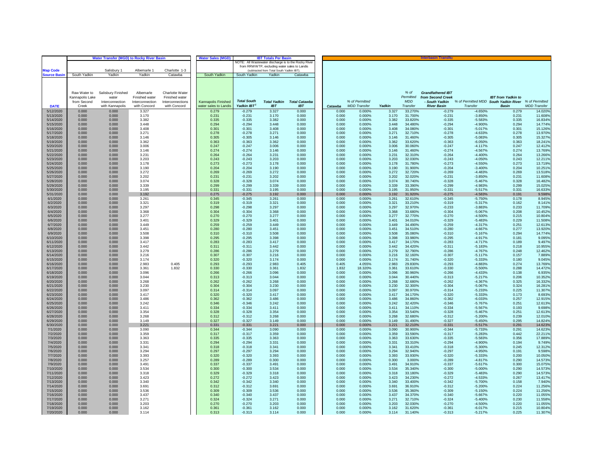|                        | <b>Water Transfer (MGD) to Rocky River Basin</b><br><b>Water Sales (MGD)</b><br><b>IBT Totals Per Basir</b> |                    |                 |                  |                       |                      |                                                    |                                                      |                |                     |                |                    | <b>Interbasin Transfe</b> |                                                      |                           |                     |
|------------------------|-------------------------------------------------------------------------------------------------------------|--------------------|-----------------|------------------|-----------------------|----------------------|----------------------------------------------------|------------------------------------------------------|----------------|---------------------|----------------|--------------------|---------------------------|------------------------------------------------------|---------------------------|---------------------|
|                        |                                                                                                             |                    |                 |                  |                       |                      |                                                    | NOTE: All Wastewater discharge is to the Rocky River |                |                     |                |                    |                           |                                                      |                           |                     |
| <b>Map Code</b>        |                                                                                                             | Salisbury 1        | Albemarle 1     | Charlotte 1-3    |                       |                      | from RRWWTP, excluding water sales to Landis       |                                                      |                |                     |                |                    |                           |                                                      |                           |                     |
| <b>Jource Basin</b>    | South Yadkin                                                                                                | Yadkin             | Yadkin          | Catawba          | South Yadkin          | South Yadkin         | (subtracted from Total South Yadkin IBT)<br>Yadkin | Catawba                                              |                |                     |                |                    |                           |                                                      |                           |                     |
|                        |                                                                                                             |                    |                 |                  |                       |                      |                                                    |                                                      |                |                     |                |                    |                           |                                                      |                           |                     |
|                        |                                                                                                             |                    |                 |                  |                       |                      |                                                    |                                                      |                |                     |                |                    |                           |                                                      |                           |                     |
|                        |                                                                                                             |                    |                 |                  |                       |                      |                                                    |                                                      |                |                     |                |                    |                           |                                                      |                           |                     |
|                        | Raw Water to                                                                                                | Salisbury Finished | Albemarle       | Charlotte Water  |                       |                      |                                                    |                                                      |                |                     |                | % of               | <b>Grandfathered IBT</b>  |                                                      |                           |                     |
|                        | Kannapolis Lake                                                                                             | water              | Finished water  | Finished water   |                       |                      |                                                    |                                                      |                |                     |                | Permitted          | from Second Creek         |                                                      | <b>IBT</b> from Yadkin to |                     |
|                        | from Second                                                                                                 | Interconnection    | Interconnection | Interconnections | Kannapolis Finished   | <b>Total South</b>   | <b>Total Yadkin</b>                                | <b>Total Catawba</b>                                 |                | % of Permitted      |                | <b>MDD</b>         | - South Yadkin            | % of Permitted MDD South Yadkin River % of Permitted |                           |                     |
| <b>DATE</b>            | Creek                                                                                                       | with Kannapolis    | with Concord    | with Concord     | water sales to Landis | Yadkin IBT           | <b>IBT</b>                                         | <b>IBT</b>                                           | Catawba        | <b>MDD</b> Transfer | Yadkin         | Transfer           | <b>River Basin</b>        | Transfer                                             | <b>Basin</b>              | <b>MDD</b> Transfer |
| 5/12/2020<br>5/13/2020 | 0.000<br>0.000                                                                                              | 0.000<br>0.000     | 3.327<br>3.170  |                  | 0.279<br>0.231        | $-0.279$<br>$-0.231$ | 3.327<br>3.170                                     | 0.000<br>0.000                                       | 0.000<br>0.000 | 0.000%<br>0.000%    | 3.327<br>3.170 | 33.270%<br>31.700% | $-0.279$<br>$-0.231$      | $-4.650%$<br>$-3.850%$                               | 0.279<br>0.231            | 14.020%<br>11.608%  |
| 5/14/2020              | 0.000                                                                                                       | 0.000              | 3.382           |                  | 0.335                 | $-0.335$             | 3.382                                              | 0.000                                                | 0.000          | 0.000%              | 3.382          | 33.820%            | $-0.335$                  | $-5.583%$                                            | 0.335                     | 16.834%             |
| 5/15/2020              | 0.000                                                                                                       | 0.000              | 3.448           |                  | 0.294                 | $-0.294$             | 3.448                                              | 0.000                                                | 0.000          | 0.000%              | 3.448          | 34.480%            | $-0.294$                  | $-4.900%$                                            | 0.294                     | 14.7749             |
| 5/16/2020              | 0.000                                                                                                       | 0.000              | 3.408           |                  | 0.301                 | $-0.301$             | 3.408                                              | 0.000                                                | 0.000          | 0.000%              | 3.408          | 34.080%            | $-0.301$                  | $-5.017%$                                            | 0.301                     | 15.1269             |
| 5/17/2020              | 0.000                                                                                                       | 0.000              | 3.271           |                  | 0.278                 | $-0.278$             | 3.271                                              | 0.000                                                | 0.000          | 0.000%              | 3.271          | 32.710%            | $-0.278$                  | $-4.633\%$                                           | 0.278                     | 13.970%             |
| 5/18/2020<br>5/19/2020 | 0.000<br>0.000                                                                                              | 0.000<br>0.000     | 3.146<br>3.362  |                  | 0.305<br>0.363        | $-0.305$<br>$-0.363$ | 3.146<br>3.362                                     | 0.000<br>0.000                                       | 0.000<br>0.000 | 0.000%<br>0.000%    | 3.146<br>3.362 | 31.460%<br>33.620% | $-0.305$<br>$-0.363$      | $-5.083%$<br>$-6.050%$                               | 0.305<br>0.363            | 15.3279<br>18.2419  |
| 5/20/2020              | 0.000                                                                                                       | 0.000              | 3.006           |                  | 0.247                 | $-0.247$             | 3.006                                              | 0.000                                                | 0.000          | 0.000%              | 3.006          | 30.060%            | $-0.247$                  | $-4.117%$                                            | 0.247                     | 12.4129             |
| 5/21/2020              | 0.000                                                                                                       | 0.000              | 3.146           |                  | 0.274                 | $-0.274$             | 3.146                                              | 0.000                                                | 0.000          | 0.000%              | 3.146          | 31.460%            | $-0.274$                  | $-4.567%$                                            | 0.274                     | 13.769%             |
| 5/22/2020              | 0.000                                                                                                       | 0.000              | 3.231           |                  | 0.264                 | $-0.264$             | 3.231                                              | 0.000                                                | 0.000          | 0.000%              | 3.231          | 32.310%            | $-0.264$                  | $-4.400%$                                            | 0.264                     | 13.2669             |
| 5/23/2020              | 0.000                                                                                                       | 0.000              | 3.203           |                  | 0.243                 | $-0.243$             | 3.203                                              | 0.000                                                | 0.000          | 0.000%              | 3.203          | 32.030%            | $-0.243$                  | $-4.050%$                                            | 0.243                     | 12.2119             |
| 5/24/2020<br>5/25/2020 | 0.000<br>0.000                                                                                              | 0.000<br>0.000     | 3.178<br>3.190  |                  | 0.273<br>0.204        | $-0.273$<br>$-0.204$ | 3.178<br>3.190                                     | 0.000<br>0.000                                       | 0.000<br>0.000 | 0.000%<br>0.000%    | 3.178<br>3.190 | 31.780%<br>31.900% | $-0.273$<br>$-0.204$      | $-4.550%$<br>$-3.400%$                               | 0.273<br>0.204            | 13.719%<br>10.2519  |
| 5/26/2020              | 0.000                                                                                                       | 0.000              | 3.272           |                  | 0.269                 | $-0.269$             | 3.272                                              | 0.000                                                | 0.000          | 0.000%              | 3.272          | 32.720%            | $-0.269$                  | $-4.483%$                                            | 0.269                     | 13.5189             |
| 5/27/2020              | 0.000                                                                                                       | 0.000              | 3.202           |                  | 0.231                 | $-0.231$             | 3.202                                              | 0.000                                                | 0.000          | 0.000%              | 3.202          | 32.020%            | $-0.231$                  | $-3.850%$                                            | 0.231                     | 11.608%             |
| 5/28/2020              | 0.000                                                                                                       | 0.000              | 3.074           |                  | 0.328                 | $-0.328$             | 3.074                                              | 0.000                                                | 0.000          | 0.000%              | 3.074          | 30.740%            | $-0.328$                  | $-5.467%$                                            | 0.328                     | 16.4829             |
| 5/29/2020              | 0.000                                                                                                       | 0.000              | 3.339           |                  | 0.299                 | $-0.299$             | 3.339                                              | 0.000                                                | 0.000          | 0.000%              | 3.339          | 33.390%            | $-0.299$                  | $-4.983%$                                            | 0.299                     | 15.025%             |
| 5/30/2020              | 0.000                                                                                                       | 0.000              | 3.195           |                  | 0.331                 | $-0.331$             | 3 195                                              | 0.000                                                | 0.000          | 0.000%              | 3.195          | 31.950%            | $-0.331$                  | $-5.517%$                                            | 0.331                     | 16.6339             |
| 5/31/2020<br>6/1/2020  | 0.000<br>0.000                                                                                              | 0.000<br>0.000     | 3.192<br>3.261  |                  | 0.275<br>0.345        | $-0.275$<br>$-0.345$ | 3.192<br>3.261                                     | 0.000<br>0.000                                       | 0.000<br>0.000 | 0.000%<br>0.000%    | 3.192<br>3.261 | 31.920%<br>32.610% | $-0.275$<br>$-0.345$      | $-4.583%$<br>$-5.750%$                               | 0.191<br>0.178            | 9.598%<br>8.945%    |
| 6/2/2020               | 0.000                                                                                                       | 0.000              | 3.321           |                  | 0.319                 | $-0.319$             | 3.321                                              | 0.000                                                | 0.000          | 0.000%              | 3.321          | 33.210%            | $-0.319$                  | $-5.317%$                                            | 0.162                     | 8.1419              |
| 6/3/2020               | 0.000                                                                                                       | 0.000              | 3.297           |                  | 0.298                 | $-0.298$             | 3.297                                              | 0.000                                                | 0.000          | 0.000%              | 3.297          | 32.970%            | $-0.233$                  | $-3.883%$                                            | 0.233                     | 11.7099             |
| 6/4/2020               | 0.000                                                                                                       | 0.000              | 3.368           |                  | 0.304                 | $-0.304$             | 3.368                                              | 0.000                                                | 0.000          | 0.000%              | 3.368          | 33.680%            | $-0.304$                  | $-5.067%$                                            | 0.208                     | 10.452%             |
| 6/5/2020               | 0.000                                                                                                       | 0.000              | 3.277           |                  | 0.270                 | $-0.270$             | 3.277                                              | 0.000                                                | 0.000          | 0.000%              | 3.277          | 32.770%            | $-0.270$                  | $-4.500%$                                            | 0.215                     | 10.804%             |
| 6/6/2020               | 0.000                                                                                                       | 0.000              | 3.401           |                  | 0.329                 | $-0.329$             | 3.401                                              | 0.000                                                | 0.000          | 0.000%              | 3.401          | 34.010%            | $-0.329$                  | $-5.483%$                                            | 0.229                     | 11.508%             |
| 6/7/2020<br>6/8/2020   | 0.000<br>0.000                                                                                              | 0.000<br>0.000     | 3.449<br>3.451  |                  | 0.259<br>0.280        | $-0.259$<br>$-0.280$ | 3.449<br>3.451                                     | 0.000<br>0.000                                       | 0.000<br>0.000 | 0.000%<br>0.000%    | 3.449<br>3.451 | 34.490%<br>34.510% | $-0.259$<br>$-0.280$      | $-4.317%$<br>$-4.667%$                               | 0.251<br>0.277            | 12.6139<br>13.9209  |
| 6/9/2020               | 0.000                                                                                                       | 0.000              | 3.508           |                  | 0.310                 | $-0.310$             | 3.508                                              | 0.000                                                | 0.000          | 0.000%              | 3.508          | 35.080%            | $-0.310$                  | $-5.167%$                                            | 0.294                     | 14.774%             |
| 6/10/2020              | 0.000                                                                                                       | 0.000              | 3.398           |                  | 0.295                 | $-0.295$             | 3.398                                              | 0.000                                                | 0.000          | 0.000%              | 3.398          | 33.980%            | $-0.295$                  | $-4.917%$                                            | 0.181                     | 9.095%              |
| 6/11/2020              | 0.000                                                                                                       | 0.000              | 3.417           |                  | 0.283                 | $-0.283$             | 3.417                                              | 0.000                                                | 0.000          | 0.000%              | 3.417          | 34.170%            | $-0.283$                  | $-4.717%$                                            | 0.189                     | 9.497%              |
| 6/12/2020              | 0.000                                                                                                       | 0.000              | 3.442           |                  | 0.311                 | $-0.311$             | 3.442                                              | 0.000                                                | 0.000          | 0.000%              | 3.442          | 34.420%            | $-0.311$                  | $-5.183%$                                            | 0.218                     | 10.955%             |
| 6/13/2020              | 0.000<br>0.000                                                                                              | 0.000              | 3.279           |                  | 0.286                 | $-0.286$             | 3.279                                              | 0.000                                                | 0.000          | 0.000%              | 3.279          | 32.790%            | $-0.286$                  | $-4.767%$                                            | 0.248                     | 12.462%             |
| 6/14/2020<br>6/15/2020 | 0.000                                                                                                       | 0.000<br>0.000     | 3.216<br>3.174  |                  | 0.307<br>0.320        | $-0.307$<br>$-0.320$ | 3.216<br>3.174                                     | 0.000<br>0.000                                       | 0.000<br>0.000 | 0.000%<br>0.000%    | 3.216<br>3.174 | 32.160%<br>31.740% | $-0.307$<br>$-0.320$      | $-5.117%$<br>$-5.333\%$                              | 0.157<br>0.180            | 7.889%<br>9.045%    |
| 6/16/2020              | 0.000                                                                                                       | 0.000              | 2.983           | 0.405            | 0.293                 | $-0.293$             | 2.983                                              | 0.405                                                | 0.405          | 4.055%              | 2.983          | 29.830%            | $-0.293$                  | $-4.883%$                                            | 0.274                     | 13.7699             |
| 6/17/2020              | 0.000                                                                                                       | 0.000              | 3.361           | 1.832            | 0.330                 | $-0.330$             | 3.361                                              | 1.832                                                | 1.832          | 18.320%             | 3.361          | 33.610%            | $-0.330$                  | $-5.500%$                                            | 0.288                     | 14.4729             |
| 6/18/2020              | 0.000                                                                                                       | 0.000              | 3.096           |                  | 0.266                 | $-0.266$             | 3.096                                              | 0.000                                                | 0.000          | 0.000%              | 3.096          | 30.960%            | $-0.266$                  | $-4.433%$                                            | 0.138                     | 6.935%              |
| 6/19/2020<br>6/20/2020 | 0.000<br>0.000                                                                                              | 0.000<br>0.000     | 3.044<br>3.268  |                  | 0.313<br>0.262        | $-0.313$<br>$-0.262$ | 3.044<br>3.268                                     | 0.000<br>0.000                                       | 0.000<br>0.000 | 0.000%              | 3.044          | 30.440%<br>32.680% | $-0.313$<br>$-0.262$      | $-5.217%$<br>$-4.367%$                               | 0.206<br>0.325            | 10.3529<br>16.3329  |
| 6/21/2020              | 0.000                                                                                                       | 0.000              | 3.230           |                  | 0.304                 | $-0.304$             | 3.230                                              | 0.000                                                | 0.000          | 0.000%<br>0.000%    | 3.268<br>3.230 | 32.300%            | $-0.304$                  | $-5.067%$                                            | 0.324                     | 16.281              |
| 6/22/2020              | 0.000                                                                                                       | 0.000              | 3.097           |                  | 0.314                 | $-0.314$             | 3.097                                              | 0.000                                                | 0.000          | 0.000%              | 3.097          | 30.970%            | $-0.314$                  | $-5.233%$                                            | 0.225                     | 11.3079             |
| 6/23/2020              | 0.000                                                                                                       | 0.000              | 3.417           |                  | 0.320                 | $-0.320$             | 3.417                                              | 0.000                                                | 0.000          | 0.000%              | 3.417          | 34.170%            | $-0.320$                  | $-5.333%$                                            | 0.173                     | 8.693%              |
| 6/24/2020              | 0.000                                                                                                       | 0.000              | 3.486           |                  | 0.362                 | $-0.362$             | 3.486                                              | 0.000                                                | 0.000          | 0.000%              | 3.486          | 34.860%            | $-0.362$                  | $-6.033%$                                            | 0.257                     | 12.915%             |
| 6/25/2020              | 0.000                                                                                                       | 0.000              | 3.242           |                  | 0.346                 | $-0.346$             | 3.242                                              | 0.000                                                | 0.000          | 0.000%              | 3.242          | 32.420%            | $-0.346$                  | $-5.767%$                                            | 0.251                     | 12.613%             |
| 6/26/2020<br>6/27/2020 | 0.000<br>0.000                                                                                              | 0.000<br>0.000     | 3.411<br>3.354  |                  | 0.334<br>0.328        | $-0.334$<br>$-0.328$ | 3.411<br>3.354                                     | 0.000<br>0.000                                       | 0.000<br>0.000 | 0.000%<br>0.000%    | 3.411<br>3.354 | 34.110%<br>33.540% | $-0.334$<br>$-0.328$      | $-5.567%$<br>$-5.467%$                               | 0.193<br>0.251            | 9.698%<br>12.6139   |
| 6/28/2020              | 0.000                                                                                                       | 0.000              | 3.268           |                  | 0.312                 | $-0.312$             | 3.268                                              | 0.000                                                | 0.000          | 0.000%              | 3.268          | 32.680%            | $-0.312$                  | $-5.200%$                                            | 0.239                     | 12.0109             |
| 6/29/2020              | 0.000                                                                                                       | 0.000              | 3.149           |                  | 0.327                 | $-0.327$             | 3.149                                              | 0.000                                                | 0.000          | 0.000%              | 3.149          | 31.490%            | $-0.327$                  | $-5.450%$                                            | 0.295                     | 14.824%             |
| 6/30/2020              | 0.000                                                                                                       | 0.000              | 3.221           |                  | 0.331                 | $-0.331$             | 3.221                                              | 0.000                                                | 0.000          | 0.000%              | 3.221          | 32.210%            | $-0.331$                  | $-5.517%$                                            | 0.291                     | 14.623%             |
| 7/1/2020               | 0.000                                                                                                       | 0.000              | 3.090           |                  | 0.344                 | $-0.344$             | 3.090                                              | 0.000                                                | 0.000          | 0.000%              | 3.090          | 30.900%            | $-0.344$                  | $-5.733%$                                            | 0.291                     | 14.6239             |
| 7/2/2020               | 0.000                                                                                                       | 0.000              | 3.359           |                  | 0.317                 | $-0.317$             | 3.359                                              | 0.000                                                | 0.000          | 0.000%              | 3.359          | 33.590%            | $-0.317$                  | $-5.283%$                                            | 0.442                     | 22.2119             |
| 7/3/2020<br>7/4/2020   | 0.000<br>0.000                                                                                              | 0.000<br>0.000     | 3.363<br>3.331  |                  | 0.335<br>0.294        | $-0.335$<br>$-0.294$ | 3.363<br>3.331                                     | 0.000<br>0.000                                       | 0.000<br>0.000 | 0.000%<br>0.000%    | 3.363<br>3.331 | 33.630%<br>33.310% | $-0.335$<br>$-0.294$      | $-5.583%$<br>$-4.900%$                               | 0.356<br>0.194            | 17.8899<br>9.749%   |
| 7/5/2020               | 0.000                                                                                                       | 0.000              | 3.341           |                  | 0.318                 | $-0.318$             | 3.341                                              | 0.000                                                | 0.000          | 0.000%              | 3.341          | 33.410%            | $-0.318$                  | $-5.300%$                                            | 0.245                     | 12.312%             |
| 7/6/2020               | 0.000                                                                                                       | 0.000              | 3.294           |                  | 0.297                 | $-0.297$             | 3.294                                              | 0.000                                                | 0.000          | 0.000%              | 3.294          | 32.940%            | $-0.297$                  | $-4.950%$                                            | 0.191                     | 9.598%              |
| 7/7/2020               | 0.000                                                                                                       | 0.000              | 3.393           |                  | 0.320                 | $-0.320$             | 3.393                                              | 0.000                                                | 0.000          | 0.000%              | 3.393          | 33.930%            | $-0.320$                  | $-5.333%$                                            | 0.200                     | 10.0509             |
| 7/8/2020               | 0.000                                                                                                       | 0.000              | 3.257           |                  | 0.289                 | $-0.289$             | 0.300                                              | 0.000                                                | 0.000          | 0.000%              | 0.300          | 3.000%             | $-0.289$                  | $-4.817%$                                            | 0.290                     | 14.573%             |
| 7/9/2020<br>7/10/2020  | 0.000<br>0.000                                                                                              | 0.000<br>0.000     | 3.491<br>3.534  |                  | 0.337<br>0.300        | $-0.337$<br>$-0.300$ | 3.491<br>3.534                                     | 0.000<br>0.000                                       | 0.000<br>0.000 | 0.000%<br>0.000%    | 3.491<br>3.534 | 34.910%<br>35.340% | $-0.337$<br>$-0.300$      | $-5.617%$<br>$-5.000%$                               | 0.300<br>0.290            | 15.075%<br>14.573%  |
| 7/11/2020              | 0.000                                                                                                       | 0.000              | 3.318           |                  | 0.329                 | $-0.329$             | 3.318                                              | 0.000                                                | 0.000          | 0.000%              | 3.318          | 33.180%            | $-0.329$                  | $-5.483%$                                            | 0.290                     | 14.573%             |
| 7/12/2020              | 0.000                                                                                                       | 0.000              | 3.423           |                  | 0.272                 | $-0.272$             | 3.423                                              | 0.000                                                | 0.000          | 0.000%              | 3.423          | 34.230%            | $-0.272$                  | $-4.533%$                                            | 0.267                     | 13.4179             |
| 7/13/2020              | 0.000                                                                                                       | 0.000              | 3.340           |                  | 0.342                 | $-0.342$             | 3.340                                              | 0.000                                                | 0.000          | 0.000%              | 3.340          | 33.400%            | $-0.342$                  | $-5.700%$                                            | 0.158                     | 7.940%              |
| 7/14/2020              | 0.000                                                                                                       | 0.000              | 3.691           |                  | 0.312                 | $-0.312$             | 3.691                                              | 0.000                                                | 0.000          | 0.000%              | 3.691          | 36.910%            | $-0.312$                  | $-5.200%$                                            | 0.224                     | 11.2569             |
| 7/15/2020              | 0.000                                                                                                       | 0.000              | 3.536           |                  | 0.309                 | $-0.309$             | 3.536                                              | 0.000                                                | 0.000          | 0.000%              | 3.536          | 35.360%            | $-0.309$                  | $-5.150%$                                            | 0.224                     | 11.2569             |
| 7/16/2020<br>7/17/2020 | 0.000<br>0.000                                                                                              | 0.000<br>0.000     | 3.437<br>3.271  |                  | 0.340<br>0.324        | $-0.340$<br>$-0.324$ | 3.437<br>3.271                                     | 0.000<br>0.000                                       | 0.000<br>0.000 | 0.000%<br>0.000%    | 3.437<br>3.271 | 34.370%<br>32.710% | $-0.340$<br>$-0.324$      | $-5.667%$<br>$-5.400%$                               | 0.220<br>0.230            | 11.055%<br>11.5589  |
| 7/18/2020              | 0.000                                                                                                       | 0.000              | 3.203           |                  | 0.270                 | $-0.270$             | 3.203                                              | 0.000                                                | 0.000          | 0.000%              | 3.203          | 32.030%            | $-0.270$                  | $-4.500%$                                            | 0.220                     | 11.055%             |
| 7/19/2020              | 0.000                                                                                                       | 0.000              | 3.162           |                  | 0.361                 | $-0.361$             | 3.162                                              | 0.000                                                | 0.000          | 0.000%              | 3.162          | 31.620%            | $-0.361$                  | $-6.017%$                                            | 0.215                     | 10.804%             |
| 7/20/2020              | 0.000                                                                                                       | 0.000              | 3.114           |                  | 0.313                 | $-0.313$             | 3.114                                              | 0.000                                                | 0.000          | 0.000%              | 3.114          | 31.140%            | $-0.313$                  | $-5.217%$                                            | 0.225                     | 11.307%             |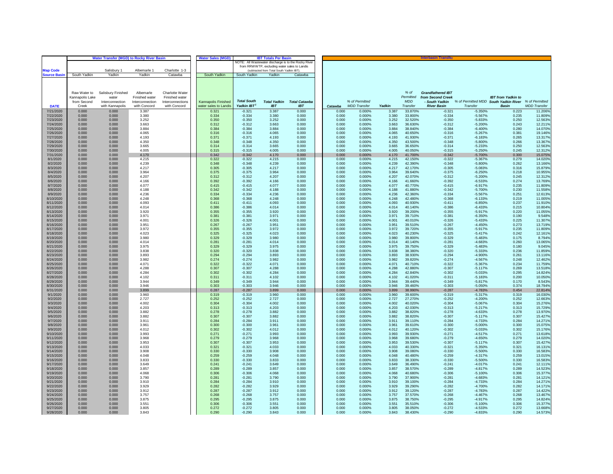|                        | <b>Water Transfer (MGD) to Rocky River Basin</b><br><b>Water Sales (MGD)</b><br><b>IBT Totals Per Basir</b> |                          |                                   |                                    |                       |                      |                                                                                          |                      |                |                     |                |                         | <b>Interbasin Transfe</b>           |                                                      |                           |                     |
|------------------------|-------------------------------------------------------------------------------------------------------------|--------------------------|-----------------------------------|------------------------------------|-----------------------|----------------------|------------------------------------------------------------------------------------------|----------------------|----------------|---------------------|----------------|-------------------------|-------------------------------------|------------------------------------------------------|---------------------------|---------------------|
|                        |                                                                                                             |                          |                                   |                                    |                       |                      | NOTE: All Wastewater discharge is to the Rocky River                                     |                      |                |                     |                |                         |                                     |                                                      |                           |                     |
| <b>Map Code</b>        |                                                                                                             | Salisbury 1              | Albemarle 1                       | Charlotte 1-3                      |                       |                      | from RRWWTP, excluding water sales to Landis<br>(subtracted from Total South Yadkin IBT) |                      |                |                     |                |                         |                                     |                                                      |                           |                     |
| ource Basin            | South Yadkin                                                                                                | Yadkin                   | Yadkin                            | Catawba                            | South Yadkin          | South Yadkin         | Yadkin                                                                                   | Catawba              |                |                     |                |                         |                                     |                                                      |                           |                     |
|                        |                                                                                                             |                          |                                   |                                    |                       |                      |                                                                                          |                      |                |                     |                |                         |                                     |                                                      |                           |                     |
|                        |                                                                                                             |                          |                                   |                                    |                       |                      |                                                                                          |                      |                |                     |                |                         |                                     |                                                      |                           |                     |
|                        |                                                                                                             |                          |                                   |                                    |                       |                      |                                                                                          |                      |                |                     |                |                         |                                     |                                                      |                           |                     |
|                        | Raw Water to                                                                                                | Salisbury Finished       | Albemarle                         | Charlotte Water                    |                       |                      |                                                                                          |                      |                |                     |                | % of                    | <b>Grandfathered IBT</b>            |                                                      |                           |                     |
|                        | Kannapolis Lake<br>from Second                                                                              | water<br>Interconnection | Finished water<br>Interconnection | Finished water<br>Interconnections | Kannapolis Finished   | <b>Total South</b>   | <b>Total Yadkin</b>                                                                      | <b>Total Catawba</b> |                | % of Permitted      |                | Permitted<br><b>MDD</b> | from Second Creek<br>- South Yadkin | % of Permitted MDD South Yadkin River % of Permitted | <b>IBT</b> from Yadkin to |                     |
| <b>DATE</b>            | Creek                                                                                                       | with Kannapolis          | with Concord                      | with Concord                       | water sales to Landis | Yadkin IBT           | <b>IBT</b>                                                                               | <b>IBT</b>           | Catawba        | <b>MDD</b> Transfer | Yadkin         | Transfer                | <b>River Basin</b>                  | Transfer                                             | <b>Basin</b>              | <b>MDD</b> Transfer |
| 7/21/2020              | 0.000                                                                                                       | 0.000                    | 3.387                             |                                    | 0.321                 | $-0.321$             | 3.387                                                                                    | 0.000                | 0.000          | 0.000%              | 3.387          | 33.870%                 | $-0.321$                            | $-5.350%$                                            | 0.223                     | 11.206%             |
| 7/22/2020              | 0.000                                                                                                       | 0.000                    | 3.380                             |                                    | 0.334                 | $-0.334$             | 3.380                                                                                    | 0.000                | 0.000          | 0.000%              | 3.380          | 33.800%                 | $-0.334$                            | $-5.567%$                                            | 0.235                     | 11.809%             |
| 7/23/2020              | 0.000                                                                                                       | 0.000                    | 3.252                             |                                    | 0.350                 | $-0.350$             | 3.252                                                                                    | 0.000                | 0.000          | 0.000%              | 3.252          | 32.520%                 | $-0.350$                            | $-5.833%$                                            | 0.250                     | 12.563%             |
| 7/24/2020              | 0.000                                                                                                       | 0.000                    | 3.663                             |                                    | 0.312                 | $-0.312$             | 3.663                                                                                    | 0.000                | 0.000          | 0.000%              | 3.663          | 36.630%                 | $-0.312$                            | $-5.200%$                                            | 0.243                     | 12.2119             |
| 7/25/2020<br>7/26/2020 | 0.000<br>0.000                                                                                              | 0.000<br>0.000           | 3.884<br>4.065                    |                                    | 0.384<br>0.316        | $-0.384$<br>$-0.316$ | 3.884<br>4.065                                                                           | 0.000<br>0.000       | 0.000<br>0.000 | 0.000%<br>0.000%    | 3.884<br>4.065 | 38.840%<br>40.650%      | $-0.384$<br>$-0.316$                | $-6.400%$<br>$-5.267%$                               | 0.280<br>0.381            | 14.0709<br>19.1469  |
| 7/27/2020              | 0.000                                                                                                       | 0.000                    | 4.193                             |                                    | 0.371                 | $-0.371$             | 4.193                                                                                    | 0.000                | 0.000          | 0.000%              | 4.193          | 41.930%                 | $-0.371$                            | $-6.183%$                                            | 0.265                     | 13.317%             |
| 7/28/2020              | 0.000                                                                                                       | 0.000                    | 4.350                             |                                    | 0.348                 | $-0.348$             | 4.350                                                                                    | 0.000                | 0.000          | 0.000%              | 4.350          | 43.500%                 | $-0.348$                            | $-5.800%$                                            | 0.266                     | 13.3679             |
| 7/29/2020              | 0.000                                                                                                       | 0.000                    | 3.665                             |                                    | 0.314                 | $-0.314$             | 3.665                                                                                    | 0.000                | 0.000          | 0.000%              | 3.665          | 36.650%                 | $-0.314$                            | $-5.233%$                                            | 0.250                     | 12.563%             |
| 7/30/2020              | 0.000                                                                                                       | 0.000                    | 4.005                             |                                    | 0.315                 | $-0.315$             | 4.005                                                                                    | 0.000                | 0.000          | 0.000%              | 4.005          | 40.050%                 | $-0.315$                            | $-5.250%$                                            | 0.245                     | 12.3129             |
| 7/31/2020<br>8/1/2020  | 0.000<br>0.000                                                                                              | 0.000<br>0.000           | 4.170<br>4.215                    |                                    | 0.342<br>0.322        | $-0.342$<br>$-0.322$ | 4.170<br>4.215                                                                           | 0.000<br>0.000       | 0.000<br>0.000 | 0.000%<br>0.000%    | 4.170<br>4.215 | 41.700%<br>42.150%      | $-0.342$<br>$-0.322$                | $-5.700%$<br>$-5.367%$                               | 0.300<br>0.279            | 15.075%<br>14.0209  |
| 8/2/2020               | 0.000                                                                                                       | 0.000                    | 4 239                             |                                    | 0.348                 | $-0.348$             | 4.239                                                                                    | 0.000                | 0.000          | 0.000%              | 4.239          | 42.390%                 | $-0.348$                            | $-5.800%$                                            | 0.262                     | 13.166%             |
| 8/3/2020               | 0.000                                                                                                       | 0.000                    | 4.217                             |                                    | 0.305                 | $-0.305$             | 4.217                                                                                    | 0.000                | 0.000          | 0.000%              | 4.217          | 42.170%                 | $-0.305$                            | $-5.083%$                                            | 0.316                     | 15.879%             |
| 8/4/2020               | 0.000                                                                                                       | 0.000                    | 3.964                             |                                    | 0.375                 | $-0.375$             | 3.964                                                                                    | 0.000                | 0.000          | 0.000%              | 3.964          | 39.640%                 | $-0.375$                            | $-6.250%$                                            | 0.218                     | 10.955%             |
| 8/5/2020               | 0.000                                                                                                       | 0.000                    | 4.207                             |                                    | 0.312                 | $-0.312$             | 4.207                                                                                    | 0.000                | 0.000          | 0.000%              | 4.207          | 42.070%                 | $-0.312$                            | $-5.200%$                                            | 0.245                     | 12.3129             |
| 8/6/2020<br>8/7/2020   | 0.000<br>0.000                                                                                              | 0.000<br>0.000           | 4.166<br>4.077                    |                                    | 0.392<br>0.415        | $-0.392$<br>$-0.415$ | 4.166<br>4.077                                                                           | 0.000<br>0.000       | 0.000<br>0.000 | 0.000%<br>0.000%    | 4.166<br>4.077 | 41.660%<br>40.770%      | $-0.392$<br>$-0.415$                | $-6.533%$<br>$-6.917%$                               | 0.274<br>0.235            | 13.7699<br>11.8099  |
| 8/8/2020               | 0.000                                                                                                       | 0.000                    | 4.188                             |                                    | 0.342                 | $-0.342$             | 4.188                                                                                    | 0.000                | 0.000          | 0.000%              | 4.188          | 41.880%                 | $-0.342$                            | $-5.700%$                                            | 0.230                     | 11.5589             |
| 8/9/2020               | 0.000                                                                                                       | 0.000                    | 4.236                             |                                    | 0.334                 | $-0.334$             | 4.236                                                                                    | 0.000                | 0.000          | 0.000%              | 4.236          | 42.360%                 | $-0.334$                            | $-5.567%$                                            | 0.251                     | 12.6139             |
| 8/10/2020              | 0.000                                                                                                       | 0.000                    | 4.248                             |                                    | 0.368                 | $-0.368$             | 4.248                                                                                    | 0.000                | 0.000          | 0.000%              | 4.248          | 42.480%                 | $-0.368$                            | $-6.133%$                                            | 0.219                     | 11.005%             |
| 8/11/2020              | 0.000                                                                                                       | 0.000                    | 4.093                             |                                    | 0.411                 | $-0.411$             | 4.093                                                                                    | 0.000                | 0.000          | 0.000%              | 4.093          | 40.930%                 | $-0.411$                            | $-6.850%$                                            | 0.237                     | 11.910%             |
| 8/12/2020<br>8/13/2020 | 0.000<br>0.000                                                                                              | 0.000<br>0.000           | 4.014<br>3.920                    |                                    | 0.386<br>0.355        | $-0.386$<br>$-0.355$ | 4.014<br>3.920                                                                           | 0.000<br>0.000       | 0.000<br>0.000 | 0.000%<br>0.000%    | 4.014<br>3.920 | 40.140%<br>39.200%      | $-0.386$<br>$-0.355$                | $-6.433%$<br>$-5.917%$                               | 0.215<br>0.220            | 10.804%<br>11.055%  |
| 8/14/2020              | 0.000                                                                                                       | 0.000                    | 3.971                             |                                    | 0.381                 | $-0.381$             | 3.971                                                                                    | 0.000                | 0.000          | 0.000%              | 3.971          | 39.710%                 | $-0.381$                            | $-6.350%$                                            | 0.190                     | 9.5489              |
| 8/15/2020              | 0.000                                                                                                       | 0.000                    | 4.001                             |                                    | 0.326                 | $-0.326$             | 4.001                                                                                    | 0.000                | 0.000          | 0.000%              | 4.001          | 40.010%                 | $-0.326$                            | $-5.433%$                                            | 0.225                     | 11.307%             |
| 8/16/2020              | 0.000                                                                                                       | 0.000                    | 3.951                             |                                    | 0.267                 | $-0.267$             | 3.951                                                                                    | 0.000                | 0.000          | 0.000%              | 3.951          | 39.510%                 | $-0.267$                            | $-4.450%$                                            | 0.273                     | 13.7199             |
| 8/17/2020<br>8/18/2020 | 0.000<br>0.000                                                                                              | 0.000<br>0.000           | 3.972<br>4.023                    |                                    | 0.355<br>0.325        | $-0.355$<br>$-0.325$ | 3.972<br>4.023                                                                           | 0.000<br>0.000       | 0.000<br>0.000 | 0.000%<br>0.000%    | 3.972<br>4.023 | 39.720%<br>40.230%      | $-0.355$<br>$-0.325$                | $-5.917%$<br>$-5.417%$                               | 0.235<br>0.242            | 11.8099<br>12.1619  |
| 8/19/2020              | 0.000                                                                                                       | 0.000                    | 3.980                             |                                    | 0.329                 | $-0.329$             | 3.980                                                                                    | 0.000                | 0.000          | 0.000%              | 3.980          | 39.800%                 | $-0.329$                            | $-5.483%$                                            | 0.175                     | 8.794%              |
| 8/20/2020              | 0.000                                                                                                       | 0.000                    | 4.014                             |                                    | 0.281                 | $-0.281$             | 4.014                                                                                    | 0.000                | 0.000          | 0.000%              | 4.014          | 40.140%                 | $-0.281$                            | $-4.683%$                                            | 0.260                     | 13.065%             |
| 8/21/2020              | 0.000                                                                                                       | 0.000                    | 3.975                             |                                    | 0.329                 | $-0.329$             | 3.975                                                                                    | 0.000                | 0.000          | 0.000%              | 3.975          | 39.750%                 | $-0.329$                            | $-5.483%$                                            | 0.180                     | 9.045%              |
| 8/22/2020<br>8/23/2020 | 0.000<br>0.000                                                                                              | 0.000<br>0.000           | 3.838<br>3.893                    |                                    | 0.320<br>0.294        | $-0.320$<br>$-0.294$ | 3.838<br>3.893                                                                           | 0.000<br>0.000       | 0.000<br>0.000 | 0.000%<br>0.000%    | 3.838<br>3.893 | 38.380%<br>38.930%      | $-0.320$<br>$-0.294$                | $-5.333%$<br>$-4.900%$                               | 0.236<br>0.261            | 11.8599<br>13.116%  |
| 8/24/2020              | 0.000                                                                                                       | 0.000                    | 3.982                             |                                    | 0.274                 | $-0.274$             | 3.982                                                                                    | 0.000                | 0.000          | 0.000%              | 3.982          | 39.820%                 | $-0.274$                            | $-4.567%$                                            | 0.248                     | 12.4629             |
| 8/25/2020              | 0.000                                                                                                       | 0.000                    | 4.071                             |                                    | 0.322                 | $-0.322$             | 4.071                                                                                    | 0.000                | 0.000          | 0.000%              | 4.071          | 40.710%                 | $-0.322$                            | $-5.367%$                                            | 0.234                     | 11.7599             |
| 8/26/2020              | 0.000                                                                                                       | 0.000                    | 4.288                             |                                    | 0.307                 | $-0.307$             | 4.288                                                                                    | 0.000                | 0.000          | 0.000%              | 4.288          | 42.880%                 | $-0.307$                            | $-5.117%$                                            | 0.269                     | 13.5189             |
| 8/27/2020<br>8/28/2020 | 0.000<br>0.000                                                                                              | 0.000<br>0.000           | 4.284<br>4.102                    |                                    | 0.302                 | $-0.302$             | 4.284<br>4.102                                                                           | 0.000<br>0.000       | 0.000<br>0.000 | 0.000%<br>0.000%    | 4.284          | 42.840%<br>41.020%      | $-0.302$<br>$-0.311$                | $-5.033%$                                            | 0.295                     | 14.8249             |
| 8/29/2020              | 0.000                                                                                                       | 0.000                    | 3.944                             |                                    | 0.311<br>0.349        | $-0.311$<br>$-0.349$ | 3.944                                                                                    | 0.000                | 0.000          | 0.000%              | 4.102<br>3.944 | 39.440%                 | $-0.349$                            | $-5.183%$<br>$-5.817%$                               | 0.200<br>0.170            | 10.050%<br>8.5439   |
| 8/30/2020              | 0.000                                                                                                       | 0.000                    | 3.946                             |                                    | 0.303                 | $-0.303$             | 3.946                                                                                    | 0.000                | 0.000          | 0.000%              | 3.946          | 39.460%                 | $-0.303$                            | $-5.050%$                                            | 0.374                     | 18.794%             |
| 8/31/2020              | 0.000                                                                                                       | 0.000                    | 3.899                             |                                    | 0.287                 | $-0.287$             | 3.899                                                                                    | 0.000                | 0.000          | 0.000%              | 3.899          | 38.990%                 | $-0.287$                            | $-4.783%$                                            | 0.454                     | 22.8149             |
| 9/1/2020               | 0.000                                                                                                       | 0.000                    | 3.960                             |                                    | 0.319                 | $-0.319$             | 3.960                                                                                    | 0.000                | 0.000          | 0.000%              | 3.960          | 39.600%                 | $-0.319$                            | $-5.317%$                                            | 0.319                     | 16.0309             |
| 9/2/2020<br>9/3/2020   | 0.000<br>0.000                                                                                              | 0.000<br>0.000           | 2.727<br>4.002                    |                                    | 0.252<br>0.304        | $-0.252$<br>$-0.304$ | 2.727<br>4.002                                                                           | 0.000<br>0.000       | 0.000<br>0.000 | 0.000%<br>0.000%    | 2.727<br>4.002 | 27.270%<br>40.020%      | $-0.252$<br>$-0.304$                | $-4.200%$<br>$-5.067%$                               | 0.252<br>0.304            | 12.6639<br>15.276%  |
| 9/4/2020               | 0.000                                                                                                       | 0.000                    | 4.203                             |                                    | 0.313                 | $-0.313$             | 4.203                                                                                    | 0.000                | 0.000          | 0.000%              | 4.203          | 42.030%                 | $-0.313$                            | $-5.217%$                                            | 0.313                     | 15.729%             |
| 9/5/2020               | 0.000                                                                                                       | 0.000                    | 3.882                             |                                    | 0.278                 | $-0.278$             | 3.882                                                                                    | 0.000                | 0.000          | 0.000%              | 3.882          | 38.820%                 | $-0.278$                            | $-4.633%$                                            | 0.278                     | 13.970%             |
| 9/6/2020               | 0.000                                                                                                       | 0.000                    | 3.882                             |                                    | 0.307                 | $-0.307$             | 3.882                                                                                    | 0.000                | 0.000          | 0.000%              | 3.882          | 38.820%                 | $-0.307$                            | $-5.117%$                                            | 0.307                     | 15.427%             |
| 9/7/2020               | 0.000                                                                                                       | 0.000                    | 3.911                             |                                    | 0.284                 | $-0.284$             | 3.911                                                                                    | 0.000                | 0.000          | 0.000%              | 3.911          | 39.110%                 | $-0.284$                            | $-4.733%$                                            | 0.284                     | 14.2719             |
| 9/8/2020<br>9/9/2020   | 0.000<br>0.000                                                                                              | 0.000<br>0.000           | 3.961<br>4.012                    |                                    | 0.300<br>0.302        | $-0.300$<br>$-0.302$ | 3.961<br>4.012                                                                           | 0.000<br>0.000       | 0.000<br>0.000 | 0.000%<br>0.000%    | 3.961<br>4.012 | 39.610%<br>40.120%      | $-0.300$<br>$-0.302$                | $-5.000%$<br>$-5.033%$                               | 0.300<br>0.302            | 15.075%<br>15.1769  |
| 9/10/2020              | 0.000                                                                                                       | 0.000                    | 3.993                             |                                    | 0.271                 | $-0.271$             | 3.993                                                                                    | 0.000                | 0.000          | 0.000%              | 3.993          | 39.930%                 | $-0.271$                            | $-4.517%$                                            | 0.271                     | 13.6189             |
| 9/11/2020              | 0.000                                                                                                       | 0.000                    | 3.968                             |                                    | 0.279                 | $-0.279$             | 3.968                                                                                    | 0.000                | 0.000          | 0.000%              | 3.968          | 39.680%                 | $-0.279$                            | $-4.650%$                                            | 0.279                     | 14.0209             |
| 9/12/2020              | 0.000                                                                                                       | 0.000                    | 3.953                             |                                    | 0.307                 | $-0.307$             | 3.953                                                                                    | 0.000                | 0.000          | 0.000%              | 3.953          | 39.530%                 | $-0.307$                            | $-5.117%$                                            | 0.307                     | 15.427%             |
| 9/13/2020<br>9/14/2020 | 0.000<br>0.000                                                                                              | 0.000<br>0.000           | 4.033<br>3.908                    |                                    | 0.321<br>0.330        | $-0.321$<br>$-0.330$ | 4.033<br>3.908                                                                           | 0.000<br>0.000       | 0.000<br>0.000 | 0.000%<br>0.000%    | 4.033<br>3.908 | 40.330%<br>39.080%      | $-0.321$<br>$-0.330$                | $-5.350%$<br>$-5.500%$                               | 0.321<br>0.330            | 16.1319<br>16,583%  |
| 9/15/2020              | 0.000                                                                                                       | 0.000                    | 4.048                             |                                    | 0.259                 | $-0.259$             | 4.048                                                                                    | 0.000                | 0.000          | 0.000%              | 4.048          | 40.480%                 | $-0.259$                            | $-4.317%$                                            | 0.259                     | 13.0159             |
| 9/16/2020              | 0.000                                                                                                       | 0.000                    | 3.833                             |                                    | 0.330                 | $-0.330$             | 3.833                                                                                    | 0.000                | 0.000          | 0.000%              | 3.833          | 38.330%                 | $-0.330$                            | $-5.500%$                                            | 0.330                     | 16.583%             |
| 9/17/2020              | 0.000                                                                                                       | 0.000                    | 3.649                             |                                    | 0.241                 | $-0.241$             | 3.649                                                                                    | 0.000                | 0.000          | 0.000%              | 3.649          | 36.490%                 | $-0.241$                            | $-4.017%$                                            | 0.241                     | 12.1119             |
| 9/18/2020<br>9/19/2020 | 0.000<br>0.000                                                                                              | 0.000<br>0.000           | 3.857<br>4.068                    |                                    | 0.289<br>0.306        | $-0.289$<br>$-0.306$ | 3.857<br>4.068                                                                           | 0.000<br>0.000       | 0.000<br>0.000 | 0.000%<br>0.000%    | 3.857<br>4.068 | 38.570%<br>40.680%      | $-0.289$<br>$-0.306$                | $-4.817%$<br>$-5.100%$                               | 0.289<br>0.306            | 14.523%<br>15.377%  |
| 9/20/2020              | 0.000                                                                                                       | 0.000                    | 3.790                             |                                    | 0.281                 | $-0.281$             | 3.790                                                                                    | 0.000                | 0.000          | 0.000%              | 3.790          | 37.900%                 | $-0.281$                            | $-4.683%$                                            | 0.281                     | 14.1219             |
| 9/21/2020              | 0.000                                                                                                       | 0.000                    | 3.910                             |                                    | 0.284                 | $-0.284$             | 3.910                                                                                    | 0.000                | 0.000          | 0.000%              | 3.910          | 39.100%                 | $-0.284$                            | $-4.733%$                                            | 0.284                     | 14.271%             |
| 9/22/2020              | 0.000                                                                                                       | 0.000                    | 3.929                             |                                    | 0.282                 | $-0.282$             | 3.929                                                                                    | 0.000                | 0.000          | 0.000%              | 3.929          | 39.290%                 | $-0.282$                            | $-4.700%$                                            | 0.282                     | 14.1719             |
| 9/23/2020              | 0.000                                                                                                       | 0.000                    | 3.912                             |                                    | 0.287                 | $-0.287$             | 3.912                                                                                    | 0.000                | 0.000          | 0.000%              | 3.912          | 39.120%                 | $-0.287$                            | $-4.783%$                                            | 0.287                     | 14.422%             |
| 9/24/2020              | 0.000<br>0.000                                                                                              | 0.000                    | 3.757<br>3.875                    |                                    | 0.268                 | $-0.268$<br>$-0.295$ | 3.757<br>3.875                                                                           | 0.000                | 0.000<br>0.000 | 0.000%<br>0.000%    | 3.757<br>3.875 | 37.570%                 | $-0.268$<br>$-0.295$                | $-4.467%$<br>$-4.917%$                               | 0.268<br>0.295            | 13.467%             |
| 9/25/2020<br>9/26/2020 | 0.000                                                                                                       | 0.000<br>0.000           | 3.551                             |                                    | 0.295<br>0.306        | $-0.306$             | 3.551                                                                                    | 0.000<br>0.000       | 0.000          | 0.000%              | 3.551          | 38.750%<br>35.510%      | $-0.306$                            | $-5.100%$                                            | 0.306                     | 14.824%<br>15.3779  |
| 9/27/2020              | 0.000                                                                                                       | 0.000                    | 3.805                             |                                    | 0.272                 | $-0.272$             | 3.805                                                                                    | 0.000                | 0.000          | 0.000%              | 3.805          | 38.050%                 | $-0.272$                            | $-4.533%$                                            | 0.272                     | 13.6689             |
| 9/28/2020              | 0.000                                                                                                       | 0.000                    | 3.843                             |                                    | 0.290                 | $-0.290$             | 3.843                                                                                    | 0.000                | 0.000          | 0.000%              | 3.843          | 38.430%                 | $-0.290$                            | $-4.833%$                                            | 0.290                     | 14.573%             |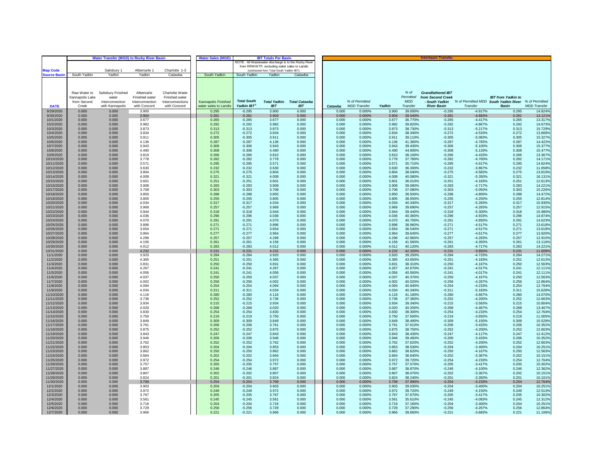|                          |                 | <b>Water Transfer (MGD) to Rocky River Basin</b> | <b>Water Sales (MGD)</b> | <b>IBT Totals Per Basir</b> |                       |                      |                                                      | <b>Interbasin Transfe</b>         |  |                |                     |                |                    |                          |                                       |                           |                     |
|--------------------------|-----------------|--------------------------------------------------|--------------------------|-----------------------------|-----------------------|----------------------|------------------------------------------------------|-----------------------------------|--|----------------|---------------------|----------------|--------------------|--------------------------|---------------------------------------|---------------------------|---------------------|
|                          |                 |                                                  |                          |                             |                       |                      | NOTE: All Wastewater discharge is to the Rocky River |                                   |  |                |                     |                |                    |                          |                                       |                           |                     |
|                          |                 |                                                  |                          |                             |                       |                      | from RRWWTP, excluding water sales to Landis         |                                   |  |                |                     |                |                    |                          |                                       |                           |                     |
| <b>Map Code</b>          |                 | Salisbury 1                                      | Albemarle 1              | Charlotte 1-3               | South Yadkin          |                      | (subtracted from Total South Yadkin IBT)             |                                   |  |                |                     |                |                    |                          |                                       |                           |                     |
| <b>Source Basin</b>      | South Yadkin    | Yadkin                                           | Yadkin                   | Catawba                     |                       | South Yadkin         | Yadkin                                               | Catawba                           |  |                |                     |                |                    |                          |                                       |                           |                     |
|                          |                 |                                                  |                          |                             |                       |                      |                                                      |                                   |  |                |                     |                |                    |                          |                                       |                           |                     |
|                          |                 |                                                  |                          |                             |                       |                      |                                                      |                                   |  |                |                     |                |                    |                          |                                       |                           |                     |
|                          | Raw Water to    | Salisbury Finished                               | Albemarle                | Charlotte Water             |                       |                      |                                                      |                                   |  |                |                     |                | % of               | <b>Grandfathered IBT</b> |                                       |                           |                     |
|                          | Kannapolis Lake | water                                            | Finished water           | Finished water              |                       |                      |                                                      |                                   |  |                |                     |                | Permitted          | from Second Creek        |                                       | <b>IBT</b> from Yadkin to |                     |
|                          | from Second     | Interconnection                                  | Interconnection          | Interconnections            | Kannapolis Finished   | <b>Total South</b>   |                                                      | <b>Total Yadkin Total Catawba</b> |  |                | % of Permitted      |                | <b>MDD</b>         | - South Yadkin           | % of Permitted MDD South Yadkin River |                           | % of Permitted      |
| <b>DATE</b>              | Creek           | with Kannapolis                                  | with Concord             | with Concord                | water sales to Landis | Yadkin IBT           | IB <sub>T</sub>                                      | <b>IBT</b>                        |  | Catawba        | <b>MDD</b> Transfer | Yadkin         | Transfer           | <b>River Basin</b>       | Transfer                              | <b>Basin</b>              | <b>MDD</b> Transfer |
| 9/29/2020                | 0.000           | 0.000                                            | 3.900                    |                             | 0.295                 | $-0.295$             | 3.900                                                | 0.000                             |  | 0.000          | 0.000%              | 3.900          | 39.000%            | $-0.295$                 | $-4.917%$                             | 0.295                     | 14.824%             |
| 9/30/2020                | 0.000           | 0.000                                            | 3.904                    |                             | 0.281                 | $-0.281$             | 3.904                                                | 0.000                             |  | 0.000          | 0.000%              | 3.904          | 39.040%            | $-0.281$                 | $-4.683%$                             | 0.281                     | 14.121%             |
| 10/1/2020                | 0.000           | 0.000                                            | 3.677                    |                             | 0.265                 | $-0.265$             | 3.677                                                | 0.000                             |  | 0.000          | 0.000%              | 3.677          | 36.770%            | $-0.265$                 | $-4.417%$                             | 0.265                     | 13.317%             |
| 10/2/2020                | 0.000           | 0.000                                            | 3.982                    |                             | 0.292                 | $-0.292$             | 3.982                                                | 0.000                             |  | 0.000          | 0.000%              | 3.982          | 39.820%            | $-0.292$                 | $-4.867%$                             | 0.292                     | 14.673%             |
| 10/3/2020<br>10/4/2020   | 0.000<br>0.000  | 0.000<br>0.000                                   | 3.873<br>3.834           |                             | 0.313<br>0.272        | $-0.313$<br>$-0.272$ | 3.873<br>3.834                                       | 0.000<br>0.000                    |  | 0.000<br>0.000 | 0.000%<br>0.000%    | 3.873<br>3.834 | 38.730%<br>38.340% | $-0.313$<br>$-0.272$     | $-5.217%$<br>$-4.533%$                | 0.313<br>0.272            | 15.729%<br>13.6689  |
| 10/5/2020                | 0.000           | 0.000                                            | 3.911                    |                             | 0.305                 | $-0.305$             | 3.911                                                | 0.000                             |  | 0.000          | 0.000%              | 3.911          | 39.110%            | $-0.305$                 | $-5.083%$                             | 0.305                     | 15.327%             |
| 10/6/2020                | 0.000           | 0.000                                            | 4.136                    |                             | 0.287                 | $-0.287$             | 4.136                                                | 0.000                             |  | 0.000          | 0.000%              | 4.136          | 41.360%            | $-0.287$                 | $-4.783%$                             | 0.287                     | 14.422%             |
| 10/7/2020                | 0.000           | 0.000                                            | 3.943                    |                             | 0.306                 | $-0.306$             | 3.943                                                | 0.000                             |  | 0.000          | 0.000%              | 3.943          | 39.430%            | $-0.306$                 | $-5.100%$                             | 0.306                     | 15.377%             |
| 10/8/2020                | 0.000           | 0.000                                            | 4.490                    |                             | 0.308                 | $-0.308$             | 4.490                                                | 0.000                             |  | 0.000          | 0.000%              | 4.490          | 44.900%            | $-0.308$                 | $-5.133%$                             | 0.308                     | 15.4779             |
| 10/9/2020                | 0.000           | 0.000                                            | 3.810                    |                             | 0.266                 | $-0.266$             | 3.810                                                | 0.000                             |  | 0.000          | 0.000%              | 3.810          | 38.100%            | $-0.266$                 | $-4.433%$                             | 0.266                     | 13.367%             |
| 10/10/2020               | 0.000           | 0.000                                            | 3.778                    |                             | 0.282                 | $-0.282$             | 3.778                                                | 0.000                             |  | 0.000          | 0.000%              | 3.778          | 37.780%            | $-0.282$                 | $-4.700%$                             | 0.282                     | 14.1719             |
| 10/11/2020               | 0.000           | 0.000                                            | 3.571                    |                             | 0.295                 | $-0.295$             | 3.571                                                | 0.000                             |  | 0.000          | 0.000%              | 3.571          | 35.710%            | $-0.295$                 | $-4.917%$                             | 0.295                     | 14.824%             |
| 10/12/2020               | 0.000           | 0.000                                            | 3.630                    |                             | 0.232                 | $-0.232$             | 3.630<br>3.804                                       | 0.000                             |  | 0.000          | 0.000%              | 3.630          | 36.300%<br>38.040% | $-0.232$                 | $-3.867%$                             | 0.232                     | 11.658%             |
| 10/13/2020               | 0.000<br>0.000  | 0.000                                            | 3.804                    |                             | 0.275                 | $-0.275$             |                                                      | 0.000                             |  | 0.000          | 0.000%              | 3.804          |                    | $-0.275$                 | $-4.583%$                             | 0.275                     | 13.8199             |
| 10/14/2020<br>10/15/2020 | 0.000           | 0.000<br>0.000                                   | 4.008<br>3.601           |                             | 0.321<br>0.251        | $-0.321$<br>$-0.251$ | 4.008<br>3.601                                       | 0.000<br>0.000                    |  | 0.000<br>0.000 | 0.000%<br>0.000%    | 4.008<br>3.601 | 40.080%<br>36.010% | $-0.321$<br>$-0.251$     | $-5.350%$<br>$-4.183%$                | 0.321<br>0.251            | 16.131%<br>12.613%  |
| 10/16/2020               | 0.000           | 0.000                                            | 3.908                    |                             | 0.283                 | $-0.283$             | 3.908                                                | 0.000                             |  | 0.000          | 0.000%              | 3.908          | 39.080%            | $-0.283$                 | $-4.717%$                             | 0.283                     | 14.2219             |
| 10/17/2020               | 0.000           | 0.000                                            | 3.708                    |                             | 0.303                 | $-0.303$             | 3.708                                                | 0.000                             |  | 0.000          | 0.000%              | 3.708          | 37.080%            | $-0.303$                 | $-5.050%$                             | 0.303                     | 15.226%             |
| 10/18/2020               | 0.000           | 0.000                                            | 3.850                    |                             | 0.288                 | $-0.288$             | 3.850                                                | 0.000                             |  | 0.000          | 0.000%              | 3.850          | 38.500%            | $-0.288$                 | $-4.800%$                             | 0.288                     | 14.472%             |
| 10/19/2020               | 0.000           | 0.000                                            | 3.805                    |                             | 0.255                 | $-0.255$             | 3.805                                                | 0.000                             |  | 0.000          | 0.000%              | 3.805          | 38.050%            | $-0.255$                 | $-4.250%$                             | 0.255                     | 12.814%             |
| 10/20/2020               | 0.000           | 0.000                                            | 4.034                    |                             | 0.317                 | $-0.317$             | 4.034                                                | 0.000                             |  | 0.000          | 0.000%              | 4.034          | 40.340%            | $-0.317$                 | $-5.283%$                             | 0.317                     | 15.930%             |
| 10/21/2020               | 0.000           | 0.000                                            | 3.969                    |                             | 0.257                 | $-0.257$             | 3.969                                                | 0.000                             |  | 0.000          | 0.000%              | 3.969          | 39.690%            | $-0.257$                 | $-4.283%$                             | 0.257                     | 12.915%             |
| 10/22/2020               | 0.000           | 0.000                                            | 3.944                    |                             | 0.318                 | $-0.318$             | 3.944                                                | 0.000                             |  | 0.000          | 0.000%              | 3.944          | 39.440%            | $-0.318$                 | $-5.300%$                             | 0.318                     | 15.980%             |
| 10/23/2020<br>10/24/2020 | 0.000<br>0.000  | 0.000<br>0.000                                   | 4.036<br>4.070           |                             | 0.296<br>0.291        | $-0.296$<br>$-0.291$ | 4.036<br>4.070                                       | 0.000<br>0.000                    |  | 0.000<br>0.000 | 0.000%<br>0.000%    | 4.036<br>4.070 | 40.360%<br>40.700% | $-0.296$<br>$-0.291$     | $-4.933%$<br>$-4.850%$                | 0.296<br>0.291            | 14.874%<br>14.623%  |
| 10/25/2020               | 0.000           | 0.000                                            | 3.896                    |                             | 0.271                 | $-0.271$             | 3.896                                                | 0.000                             |  | 0.000          | 0.000%              | 3.896          | 38.960%            | $-0.271$                 | $-4.517%$                             | 0.271                     | 13.618%             |
| 10/26/2020               | 0.000           | 0.000                                            | 3.654                    |                             | 0.271                 | $-0.271$             | 3.654                                                | 0.000                             |  | 0.000          | 0.000%              | 3.654          | 36.540%            | $-0.271$                 | $-4.517%$                             | 0.271                     | 13.618%             |
| 10/27/2020               | 0.000           | 0.000                                            | 3.964                    |                             | 0.277                 | $-0.277$             | 3.964                                                | 0.000                             |  | 0.000          | 0.000%              | 3.964          | 39.640%            | $-0.277$                 | $-4.617%$                             | 0.277                     | 13.920%             |
| 10/28/2020               | 0.000           | 0.000                                            | 4.296                    |                             | 0.257                 | $-0.257$             | 4.296                                                | 0.000                             |  | 0.000          | 0.000%              | 4.296          | 42.960%            | $-0.257$                 | $-4.283%$                             | 0.257                     | 12.915%             |
| 10/29/2020               | 0.000           | 0.000                                            | 4.156                    |                             | 0.261                 | $-0.261$             | 4.156                                                | 0.000                             |  | 0.000          | 0.000%              | 4.156          | 41.560%            | $-0.261$                 | $-4.350%$                             | 0.261                     | 13.116%             |
| 10/30/2020               | 0.000           | 0.000                                            | 4.012                    |                             | 0.283                 | $-0.283$             | 4.012                                                | 0.000                             |  | 0.000          | 0.000%              | 4.012          | 40.120%            | $-0.283$                 | $-4.717%$                             | 0.283                     | 14.2219             |
| 10/31/2020               | 0.000           | 0.000                                            | 4 232                    |                             | 0.231                 | $-0.231$             | 4.232                                                | 0.000                             |  | 0.000          | 0.000%              | 4.232          | 42.320%            | $-0.231$                 | $-3.850%$                             | 0.231                     | 11.608%             |
| 11/1/2020<br>11/2/2020   | 0.000<br>0.000  | 0.000<br>0.000                                   | 3.920<br>4.365           |                             | 0.284<br>0.251        | $-0.284$<br>$-0.251$ | 3.920<br>4.365                                       | 0.000<br>0.000                    |  | 0.000<br>0.000 | 0.000%<br>0.000%    | 3.920<br>4.365 | 39.200%<br>43.650% | $-0.284$<br>$-0.251$     | $-4.733%$<br>$-4.183%$                | 0.284<br>0.251            | 14.271%<br>12.613%  |
| 11/3/2020                | 0.000           | 0.000                                            | 3.831                    |                             | 0.250                 | $-0.250$             | 3.831                                                | 0.000                             |  | 0.000          | 0.000%              | 3.831          | 38.310%            | $-0.250$                 | $-4.167%$                             | 0.250                     | 12.563%             |
| 11/4/2020                | 0.000           | 0.000                                            | 4.267                    |                             | 0.241                 | $-0.241$             | 4.267                                                | 0.000                             |  | 0.000          | 0.000%              | 4.267          | 42.670%            | $-0.241$                 | $-4.017%$                             | 0.241                     | 12.111              |
| 11/5/2020                | 0.000           | 0.000                                            | 4.056                    |                             | 0.241                 | $-0.241$             | 4.056                                                | 0.000                             |  | 0.000          | 0.000%              | 4.056          | 40.560%            | $-0.241$                 | $-4.017%$                             | 0.241                     | 12.1119             |
| 11/6/2020                | 0.000           | 0.000                                            | 4.037                    |                             | 0.250                 | $-0.250$             | 4.037                                                | 0.000                             |  | 0.000          | 0.000%              | 4.037          | 40.370%            | $-0.250$                 | $-4.167%$                             | 0.250                     | 12.563%             |
| 11/7/2020                | 0.000           | 0.000                                            | 4.002                    |                             | 0.256                 | $-0.256$             | 4.002                                                | 0.000                             |  | 0.000          | 0.000%              | 4.002          | 40.020%            | $-0.256$                 | $-4.267%$                             | 0.256                     | 12.864%             |
| 11/8/2020                | 0.000           | 0.000                                            | 4.094                    |                             | 0.254                 | $-0.254$             | 4.094                                                | 0.000                             |  | 0.000          | 0.000%              | 4.094          | 40.940%            | $-0.254$                 | $-4.233%$                             | 0.254                     | 12.764%             |
| 11/9/2020                | 0.000           | 0.000                                            | 4.034                    |                             | 0.311                 | $-0.311$             | 4.034                                                | 0.000                             |  | 0.000          | 0.000%              | 4.034          | 40.340%            | $-0.311$                 | $-5.183%$                             | 0.311                     | 15.628%             |
| 11/10/2020               | 0.000           | 0.000                                            | 4.116                    |                             | 0.280                 | $-0.280$             | 4.116                                                | 0.000                             |  | 0.000          | 0.000%              | 4.116          | 41.160%            | $-0.280$                 | $-4.667%$                             | 0.280                     | 14.070%             |
| 11/11/2020<br>11/12/2020 | 0.000<br>0.000  | 0.000<br>0.000                                   | 3.736<br>3.934           |                             | 0.252<br>0.215        | $-0.252$<br>$-0.215$ | 3.736<br>3.934                                       | 0.000<br>0.000                    |  | 0.000<br>0.000 | 0.000%<br>0.000%    | 3.736<br>3.934 | 37.360%<br>39.340% | $-0.252$<br>$-0.215$     | $-4.200%$<br>$-3.583%$                | 0.252<br>0.215            | 12.663%<br>10.804%  |
| 11/13/2020               | 0.000           | 0.000                                            | 4.020                    |                             | 0.268                 | $-0.268$             | 4.020                                                | 0.000                             |  | 0.000          | 0.000%              | 4.020          | 40.200%            | $-0.268$                 | $-4.467%$                             | 0.268                     | 13.467%             |
| 11/14/2020               | 0.000           | 0.000                                            | 3.830                    |                             | 0.254                 | $-0.254$             | 3.830                                                | 0.000                             |  | 0.000          | 0.000%              | 3.830          | 38.300%            | $-0.254$                 | $-4.233%$                             | 0.254                     | 12.764%             |
| 11/15/2020               | 0.000           | 0.000                                            | 3.750                    |                             | 0.219                 | $-0.219$             | 3.750                                                | 0.000                             |  | 0.000          | 0.000%              | 3.750          | 37.500%            | $-0.219$                 | $-3.650%$                             | 0.219                     | 11.0059             |
| 11/16/2020               | 0.000           | 0.000                                            | 3.849                    |                             | 0.309                 | $-0.309$             | 3.849                                                | 0.000                             |  | 0.000          | 0.000%              | 3.849          | 38.490%            | $-0.309$                 | $-5.150%$                             | 0.309                     | 15.528%             |
| 11/17/2020               | 0.000           | 0.000                                            | 3.761                    |                             | 0.206                 | $-0.206$             | 3.761                                                | 0.000                             |  | 0.000          | 0.000%              | 3.761          | 37.610%            | $-0.206$                 | $-3.433%$                             | 0.206                     | 10.352%             |
| 11/18/2020               | 0.000           | 0.000                                            | 3.875                    |                             | 0.252                 | $-0.252$             | 3.875                                                | 0.000                             |  | 0.000          | 0.000%              | 3.875          | 38.750%            | $-0.252$                 | $-4.200%$                             | 0.252                     | 12.6639             |
| 11/19/2020<br>11/20/2020 | 0.000<br>0.000  | 0.000<br>0.000                                   | 3.843<br>3.946           |                             | 0.247<br>0.206        | $-0.247$<br>$-0.206$ | 3.843<br>3.946                                       | 0.000<br>0.000                    |  | 0.000<br>0.000 | 0.000%<br>0.000%    | 3.843<br>3.946 | 38.430%<br>39.460% | $-0.247$<br>$-0.206$     | $-4.117%$<br>$-3.433%$                | 0.247<br>0.206            | 12.412%<br>10.3529  |
| 11/21/2020               | 0.000           | 0.000                                            | 3.762                    |                             | 0.252                 | $-0.252$             | 3.762                                                | 0.000                             |  | 0.000          | 0.000%              | 3.762          | 37.620%            | $-0.252$                 | $-4.200%$                             | 0.252                     | 12.663%             |
| 11/22/2020               | 0.000           | 0.000                                            | 3.853                    |                             | 0.204                 | $-0.204$             | 3.853                                                | 0.000                             |  | 0.000          | 0.000%              | 3.853          | 38.530%            | $-0.204$                 | $-3.400%$                             | 0.204                     | 10.251%             |
| 11/23/2020               | 0.000           | 0.000                                            | 3.862                    |                             | 0.250                 | $-0.250$             | 3.862                                                | 0.000                             |  | 0.000          | 0.000%              | 3.862          | 38.620%            | $-0.250$                 | $-4.167%$                             | 0.250                     | 12.563%             |
| 11/24/2020               | 0.000           | 0.000                                            | 3.664                    |                             | 0.202                 | $-0.202$             | 3.664                                                | 0.000                             |  | 0.000          | 0.000%              | 3.664          | 36.640%            | $-0.202$                 | $-3.367%$                             | 0.202                     | 10.151%             |
| 11/25/2020               | 0.000           | 0.000                                            | 3.972                    |                             | 0.254                 | $-0.254$             | 3.972                                                | 0.000                             |  | 0.000          | 0.000%              | 3.972          | 39.720%            | $-0.254$                 | $-4.233%$                             | 0.254                     | 12.764%             |
| 11/26/2020               | 0.000           | 0.000                                            | 3.757                    |                             | 0.205                 | $-0.205$             | 3.757                                                | 0.000                             |  | 0.000          | 0.000%              | 3.757          | 37.570%            | $-0.205$                 | $-3.417%$                             | 0.205                     | 10.3029             |
| 11/27/2020               | 0.000           | 0.000                                            | 3.887                    |                             | 0.246                 | $-0.246$             | 3.887                                                | 0.000                             |  | 0.000          | 0.000%              | 3.887          | 38.870%            | $-0.246$                 | $-4.100%$                             | 0.246                     | 12.362%             |
| 11/28/2020<br>11/29/2020 | 0.000<br>0.000  | 0.000<br>0.000                                   | 3.807<br>3.824           |                             | 0.202<br>0.201        | $-0.202$<br>$-0.201$ | 3.807<br>3.824                                       | 0.000<br>0.000                    |  | 0.000<br>0.000 | 0.000%<br>0.000%    | 3.807<br>3.824 | 38.070%<br>38.240% | $-0.202$<br>$-0.201$     | $-3.367%$<br>$-3.350%$                | 0.202<br>0.201            | 10.1519<br>10.101%  |
| 11/30/2020               | 0.000           | 0.000                                            | 3.799                    |                             | 0.254                 | $-0.254$             | 3.799                                                | 0.000                             |  | 0.000          | 0.000%              | 3.799          | 37.990%            | $-0.254$                 | $-4.233%$                             | 0.254                     | 12.764%             |
| 12/1/2020                | 0.000           | 0.000                                            | 3.903                    |                             | 0.204                 | $-0.204$             | 3.903                                                | 0.000                             |  | 0.000          | 0.000%              | 3.903          | 39.030%            | $-0.204$                 | $-3.400%$                             | 0.204                     | 10.2519             |
| 12/2/2020                | 0.000           | 0.000                                            | 3.972                    |                             | 0.249                 | $-0.249$             | 3.972                                                | 0.000                             |  | 0.000          | 0.000%              | 3.972          | 39.720%            | $-0.249$                 | $-4.150%$                             | 0.249                     | 12.513%             |
| 12/3/2020                | 0.000           | 0.000                                            | 3.767                    |                             | 0.205                 | $-0.205$             | 3.767                                                | 0.000                             |  | 0.000          | 0.000%              | 3.767          | 37.670%            | $-0.205$                 | $-3.417%$                             | 0.205                     | 10.302%             |
| 12/4/2020                | 0.000           | 0.000                                            | 3.561                    |                             | 0.245                 | $-0.245$             | 3.561                                                | 0.000                             |  | 0.000          | 0.000%              | 3.56'          | 35.610%            | $-0.245$                 | $-4.083%$                             | 0.245                     | 12.312%             |
| 12/5/2020                | 0.000           | 0.000                                            | 3.716                    |                             | 0.204                 | $-0.204$             | 3.716                                                | 0.000                             |  | 0.000          | 0.000%              | 3.716          | 37.160%            | $-0.204$                 | $-3.400%$                             | 0.204                     | 10.251%             |
| 12/6/2020                | 0.000           | 0.000                                            | 3.729                    |                             | 0.256                 | $-0.256$             | 3.729                                                | 0.000                             |  | 0.000          | 0.000%              | 3.729          | 37.290%            | $-0.256$                 | $-4.267%$                             | 0.256                     | 12.864%             |
| 12/7/2020                | 0.000           | 0.000                                            | 3.966                    |                             | 0.221                 | $-0.221$             | 3.966                                                | 0.000                             |  | 0.000          | 0.000%              | 3.966          | 39.660%            | $-0.221$                 | $-3.683%$                             | 0.221                     | 11.106%             |